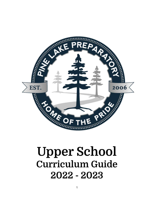

# **Upper School Curriculum Guide 2022 - 2023**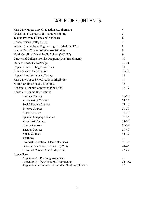## TABLE OF CONTENTS

| Pine Lake Preparatory Graduation Requirements        | $\overline{4}$ |
|------------------------------------------------------|----------------|
| Grade Point Average and Course Weighting             | 5              |
| <b>Testing Programs (State and National)</b>         | 6              |
| Honors versus College Prep                           | $\tau$         |
| Science, Technology, Engineering, and Math (STEM)    | 8              |
| Course Drop/Course Add/Course Withdraw               | 9              |
| North Carolina Virtual Public School (NCVPS)         | 9              |
| Career and College Promise Program (Dual Enrollment) | 10             |
| Student Honor Code/Pledge                            | $10 - 11$      |
| <b>Upper School Testing Guidelines</b>               | 11             |
| Honor Society Participation                          | $12 - 13$      |
| <b>Upper School Athletic Offerings</b>               | 14             |
| Pine Lake Upper School Athletic Eligibility          | 14             |
| North Carolina Athletic Eligibility                  | 15             |
| Academic Courses Offered at Pine Lake                | $16-17$        |
| Academic Course Descriptions                         |                |
| <b>English Courses</b>                               | $18 - 20$      |
| <b>Mathematics Courses</b>                           | $21 - 23$      |
| <b>Social Studies Courses</b>                        | $23 - 26$      |
| <b>Science Courses</b>                               | $27 - 30$      |
| <b>STEM Courses</b>                                  | 30-32          |
| Spanish Language Courses                             | $32 - 34$      |
| <b>Visual Art Courses</b>                            | 34-38          |
| <b>Chorus Courses</b>                                | 38-39          |
| <b>Theater Courses</b>                               | 39-40          |
| <b>Music Courses</b>                                 | $41 - 42$      |
| Yearbook                                             | 43             |
| Physical Education / ElectiveCourses                 | 43-44          |
| Occupational Course of Study (OCS)                   | 44-46          |
| <b>Extended Content Standards (ECS)</b>              | 47-49          |
| Appendices                                           |                |
| Appendix A – Planning Worksheet                      | 50             |
| Appendix B – Yearbook Staff Application              | $51 - 52$      |
| Appendix C - Fine Art Independent Study Application  | 53             |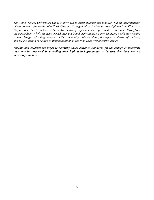*The Upper School Curriculum Guide is provided to assist students and families with an understanding of requirements for receipt of a North Carolina College/University Preparatory diploma from Pine Lake Preparatory Charter School. Liberal Arts learning experiences are provided at Pine Lake throughout the curriculum to help students exceed their goals and aspirations. An ever-changing world may require course changes reflecting concerns of the community, state mandates, the expressed desires of students, and the evaluation of course content in addition to the Pine Lake Preparatory Charter.*

*Parents and students are urged to carefully check entrance standards for the college or university they may be interested in attending after high school graduation to be sure they have met all necessary standards***.**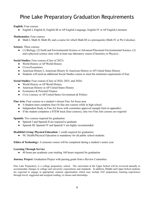## Pine Lake Preparatory Graduation Requirements

**English:** Four courses

● English I, English II, English III or AP English Language, English IV or AP English Literature

**Mathematics:** Four courses

• Math I, Math II, Math III, and a course for which Math III is a prerequisite (Math IV or Pre Calculus).

**Science:** Three courses

● (1) Biology, (2) Earth and Environmental Science or Advanced Placement Environmental Science, (3) and a physical science class with at least one laboratory course (Chemistry or Physics) .

**Social Studies:** Four courses (Class of 2023)

- World History or AP World History
- Civics/Economics
- American History I, American History II, American History or AP United States History
- Students will need an additional Social Studies course to meet the minimum requirement of four.

**Social Studies:** Four courses (Class of 2024, 2025, and 2026)

- World History or AP World History
- American History or AP United States History
- Economics & Personal Finance
- Civic Literacy or AP United States Government & Politics

**Fine Arts:** Four courses in a student's chosen Fine Art focus area

- A Student must complete four (4) fine arts courses while in high school.
- Independent Study in Fine Art focus with committee approval (sample form in appendix)
- If the student completes a STEM track (four courses), only two Fine Arts courses are required

**Spanish:** Two courses required for graduation

- Spanish I and Spanish II are required to graduate
- Spanish III, Spanish IV and Spanish V are highly recommended

**Healthful Living/ Physical Education:** 1 credit required for graduation

NC Health/Physical Education is mandatory for all public school students.

**Ethics of Technology:** A semester course will be completed during a student's senior year

#### **Learning Through Service**

**●** 40 hours per academic year totaling 160 hours required for graduation

**Journey Project:** Graduation Project with passing grade from a Review Committee.

Pine Lake Preparatory is a college preparatory school. The curriculum at the Upper School will be reviewed annually to accommodate changes in college and university expectations and standards. In addition, Middle and Upper School students are expected to engage in appropriate summer opportunities which may include SAT preparation, learning experiences through travel, suggested and assigned reading, or classes and internships.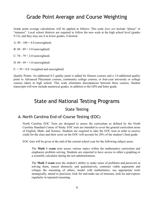## Grade Point Average and Course Weighting

Grade point average calculations will be applied as follows: This scale *does not* include "pluses" or "minuses". Local school districts are required to follow the new scale at the high school level (grades 9-12), and they may use it in lower grades, if desired.

A:  $90 - 100 = 4.0$  (unweighted)

B:  $80 - 89 = 3.0$  (unweighted)

C:  $70 - 79 = 2.0$  (unweighted)

D:  $60 - 69 = 1.0$  (unweighted)

 $F<sub>i</sub> < 59 = 0.0$  (weighted and unweighted)

Quality Points: An additional 0.5 quality point is added for Honors courses and a 1.0 additional quality point to Advanced Placement courses, community college courses, or four-year university or college courses taken in high school. This scale eliminates discrepancies between these courses. Student transcripts will now include numerical grades, in addition to the GPA and letter grade.

## State and National Testing Programs

### State Testing

### A. North Carolina End-of-Course Testing (EOC)

North Carolina EOC Tests are designed to assess the curriculum as defined by the North Carolina Standard Course of Study. EOC tests are intended to cover the general curriculum areas of English, Math, and Science. Students are required to take the EOC tests in order to receive credit for the class and their score on the EOC will account for 20% of the student's final grade.

EOC tests will be given at the end of the current school year for the following subject areas:

The **Math 1 exam** tests assess various topics within the mathematics curriculum and emphasize problem solving. Students are expected to have access to either a graphing or a scientific calculator during the test administrations.

The **Math 3 exam** tests the student's ability to make sense of problems and persevere in solving them, reason abstractly and quantitatively, construct viable arguments and critique the reasoning of others, model with mathematics, use appropriate tools strategically, attend to precision, look for and make use of structure, look for and express regularity in repeated reasoning.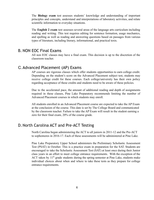The **Biology exam** test assesses students' knowledge and understanding of important principles and concepts, understand and interpretations of laboratory activities, and relate scientific information to everyday situations.

The **English 2 exam** test assesses several areas of the language arts curriculum including reading and writing. This test requires editing for sentence formation, usage mechanics, and spelling as well as reading and answering questions based on passages from various types of literature, including literary, informational, and practical texts.

### B. NON EOC Final Exams

All non EOC classes may have a final exam. This decision is up to the discretion of the classroom teacher.

### C.Advanced Placement (AP) Exams

AP courses are rigorous classes which offer students opportunities to earn college credit. Depending on the student's score on the Advanced Placement subject test, students may receive college credit for these courses. Each college/university has their own policy regarding acceptance of these credits and students need to be aware of these policies.

Due to the accelerated pace, the amount of additional reading and depth of assignments required in these classes, Pine Lake Preparatory recommends limiting the number of Advanced Placement courses in which students may enroll.

All students enrolled in an Advanced Placement course are expected to take the AP Exam at the conclusion of the course. This date is set by The College Board and communicated by the classroom teacher. Failure to take the AP Exam will result in the student earning a zero for their final exam, 20% of the course grade.

### D.North Carolina ACT and Pre-ACT Testing

North Carolina began administering the ACT to all juniors in 2011-12 and the Pre-ACT to sophomores in 2016-17. Each of these assessments will be administered at Pine Lake.

Pine Lake Preparatory Upper School administers the Preliminary Scholastic Assessment Test (PSAT) in October. This is a practice exam in preparation for the SAT. Students are encouraged to take the Scholastic Assessment Test (SAT) at least once during their Junior class years in an effort to meet college entrance requirements. With the exception of the ACT taken by  $11<sup>th</sup>$  grade students during the spring semester at Pine Lake, students make individual choices about when and where to take these tests as they prepare for college entrance requirements.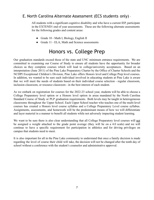### E. North Carolina Alternate Assessment (ECS students only) -

All students with a significant cognitive disability and who have a current IEP, participate in the EXTEND1 end of year assessments. These are the following alternate assessments for the following grades and content areas:

- Grade 10 Math I, Biology, English II
- Grade 11 ELA, Math and Science assessments

## Honors vs. College Prep

Our graduation standards exceed those of the state and UNC minimum entrance requirements. We are committed to examining our Course of Study to ensure all students have the opportunity for broader choices as they complete courses which will lead to college/university acceptances. Based on an interpretation (June 2011) of the Pine Lake Preparatory Charter by the Office of Charter Schools and the NCDPI Exceptional Children's Division, Pine Lake offers Honors level and College Prep level courses. In addition, we wanted to be sure each individual involved in educating students at Pine Lake is aware that we will meet the needs of students based on their individual course selection - regular classroom, inclusion classroom, or resource classroom - in the best interest of each student.

As we embark on registration for courses for the 2022-23 school year, students will be able to choose a College Preparatory level option or a Honors level option in areas mandated by the North Carolina Standard Course of Study or PLP graduation requirements. Both levels may be taught in heterogeneous classrooms throughout the Upper School. Each Upper School teacher who teaches one of the multi-level courses has created a Honors level course syllabus and a College Preparatory Level course syllabus. Assignments, assessments, and homework will be the predominant means of how we will differentiate and layer material in a manner to benefit all students while not adversely impacting student learning.

We want to be sure there is also clear understanding that all College Preparatory level courses will not be assigned a weight attached to the grade point average (they will be on a 4.0 scale) and we will continue to have a specific requirement for participation in athletics and for driving privileges on campus that students need to meet.

It is also important for all in the Pine Lake community to understand that once a family decision is made regarding the level of course their child will take, the decision will not be changed after the tenth day of school without a conference with the student's counselor and administrative approval.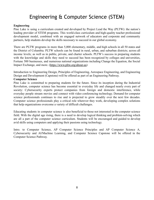## Engineering & Computer Science (STEM)

#### **Engineering**

Pine Lake is using a curriculum created and developed by Project Lead the Way (PLTW): the nation's leading provider of STEM programs. This world-class curriculum and high-quality teacher professional development model, combined with an engaged network of educators and corporate and community partners, help students develop the skills necessary to succeed in our global economy.

There are PLTW programs in more than 5,000 elementary, middle, and high schools in all 50 states and the District of Columbia. PLTW schools can be found in rural, urban, and suburban districts; across all income levels; as well as in public, private, and charter schools. PLTW's success in preparing students with the knowledge and skills they need to succeed has been recognized by colleges and universities, Fortune 500 businesses, and numerous national organizations including Change the Equation, the Social Impact Exchange, and more. (<https://www.pltw.org/about-us>)

Introduction to Engineering Design, Principles of Engineering, Aerospace Engineering, and Engineering Design and Development (Capstone) will be offered as part of an Engineering Pathway.

#### **Computer Science**

Pine Lake is committed to preparing students for the future. Since its inception during the Industrial Revolution, computer science has become essential to everyday life and changed nearly every part of society: Cybersecurity experts protect companies from foreign and domestic interference, while everyday people stream movies and connect with video conferencing technology. Demand for computer science professionals continues to rise and is projected to grow steadily over the next few decades. Computer science professionals play a critical role wherever they work, developing complex solutions that help organizations overcome a variety of difficult challenges.

Educating students in computer science is also beneficial to those not interested in the computer science field. With the digital age rising, there is a need to develop logical thinking and problem-solving which are all a part of the computer science curriculum. Students will be encouraged and guided to develop avid skills using computers and applying their passions using technology.

Intro. to Computer Science, AP Computer Science Principles and AP Computer Science A, Cybersecurity and AI/Machine Learning, and Computer Science Capstone will be offered in the Computer Science Pathway.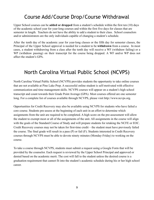## Course Add/Course Drop/Course Withdrawal

Upper School courses can be **added or dropped** from a student's schedule within the first ten (10) days of the academic school year for year-long courses and within the first five days for classes that are semester in length. Teachers do not have the ability to add a student to their class. School counselors and/or administrators are the only individuals capable of changing a student's schedule.

After the tenth day of the academic year for year-long classes or the fifth day for semester classes, the Principal of the Upper School approval is needed for a student to be **withdrawn** from a course. In most cases, a student withdrawing from a class after the tenth day will receive a WF (withdraw failing) or a WP (withdraw passing) on their transcript for the course being dropped. A WF and/or WP does not affect the student's GPA.

## North Carolina Virtual Public School (NCVPS)

North Carolina Virtual Public School (NCVPS) provides students the opportunity to take online courses that are not available at Pine Lake Prep. A successful online student is self-motivated with effective communication and time management skills. NCVPS courses will appear on a student's high school transcript and count towards their Grade Point Average (GPA). Most courses offered are one semester long. For a complete list of courses available through NCVPS, please visit http://www.ncvps.org.

Opportunities for Credit Recovery may also be available using NCVPS for students who have failed a core course. Students pre-assess at the beginning of each unit in an effort to determine which assignments from the unit are required to be completed. A high score on the pre-assessment will allow the student to exempt most or all of the assignments of the unit. All assignments in the course will align with the goals of the Standard Course of Study and will prepare students for retaking the NCFE or EOC. Credit Recovery courses may not be taken for first-time credit – the student must have previously failed the course. The final grade will result in a pass (P) or fail (F). Students interested in Credit Recovery courses through NCVPS must be able to devote ninety minutes (Monday-Friday) to working on the course.

To take a course through NCVPS, students must submit a request using a Google Form that will be provided by the counselor. Each request is reviewed by the Upper School Principal and approved or denied based on the academic merit. The cost will fall to the student unless the desired course is a graduation requirement that cannot fit into the student's academic schedule during his or her high school career.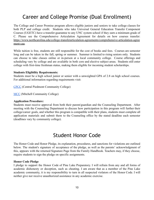## Career and College Promise (Dual Enrollment)

The College and Career Promise program allows eligible juniors and seniors to take college classes for both PLP and college credit. Students who take Universal General Education Transfer Component Courses (UGETC) have a transfer-guarantee to any UNC system school if they earn a minimum grade of C. Please see the Comprehensive Articulation Agreement for details on how courses transfer: [https://www.northcarolina.edu/college-transferarticulation-agreements/comprehensive-articulation-agree](https://www.northcarolina.edu/college-transferarticulation-agreements/comprehensive-articulation-agreement-caa) [ment-caa.](https://www.northcarolina.edu/college-transferarticulation-agreements/comprehensive-articulation-agreement-caa)

While tuition is free, students are still responsible for the cost of books and fees. Courses are semester long and can be taken in the fall, spring or summer. Summer is limited to rising seniors only. Students can choose to take classes online or in-person at a local community college. Course offerings and scheduling vary by college and are available in both core and elective subject areas. Students still enter college with first-time freshman status, making them eligible for incoming student scholarships.

#### **Students Eligibility Requirements:**

Students must be a high school junior or senior with a unweighted GPA of 2.8 on high school courses. For additional information regarding requirements visit:

[CPCC](https://www.cpcc.edu/programs/dual-enrollment) (Central Piedmont Community College)

[MCC](https://mitchellcc.edu/ccp) (Mitchell Community College)

#### **Application Procedure:**

Students must receive approval from both their parent/guardian and the Counseling Department. After meeting with the Counseling Department to discuss how participation in this program will further their college/career goals, and whether this program is compatible with their plans, students must complete all application materials and submit them to the Counseling office by the stated deadline each semester (deadlines vary by community college).

## Student Honor Code

The Honor Code and Honor Pledge, its explanation, procedures, and sanctions for violations are outlined below. The student's signature of acceptance of the pledge, as well as the parents' acknowledgment of this, appears with the returned Signature Page from the Family Handbook. Teachers may, if they choose, require students to sign the pledge on specific assignments.

#### **Honor Code Pledge**

I pledge to support the Honor Code of Pine Lake Preparatory. I will refrain from any and all forms of academic dishonesty or deception, such as cheating. I am aware that as a member of the Pine Lake academic community, it is my responsibility to turn in all suspected violators of the Honor Code. I will neither give nor receive unauthorized assistance in any academic exercise.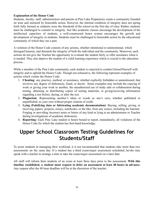#### **Explanation of the Honor Code**

Students, faculty, staff, administrators and parents at Pine Lake Preparatory create a community founded on trust and nurtured by honorable action. However, the internal condition of integrity does not spring forth fully formed as students cross the threshold of the school on the first day of class. Rather, students must be challenged to commit to integrity. Just like academic classes encourage the development of the intellectual capacities of students, a well-constructed honor system encourages the growth and development of integrity in students. Students must be challenged to honorable action by the educational community of which they are a part.

A violation of the Honor Code consists of any actions, whether intentional or unintentional, which disregard honesty, and diminish the integrity of both the individual and the community. Moreover, such actions do not give the Teacher the opportunity to evaluate the student fairly or offer assistance when it is needed. They also deprive the student of a valid learning experience which is crucial to the education process.

While a member of the Pine Lake community, each student is expected to conduct himself/herself with integrity and to uphold the Honor Code. Though not exhaustive, the following represent examples of actions which violate the Honor Code:

- 1. **Cheating**: any practice, method, or assistance, whether explicitly forbidden or unmentioned, that involves any degree of dishonesty, fraud, or deceit. Some examples may include the copying of work or giving your work to another, the unauthorized use of study aids or collaboration during testing, obtaining or distributing copies of testing materials, or giving/receiving information regarding a test before, during, or after the test.
- 2. **Plagiarism**: Representing another's ideas or words as one's own, whether published or unpublished, as your own without proper citation of credit.
- 3. **Lying (Falsifying data or fabricating academic documentation)**: Buying, selling, giving, or receiving papers, projects, essays, notebooks, or the like, from any source, including the Internet. Forging or providing incorrect notes or letters of any kind or lying to an administrator or Teacher during investigations of academic dishonesty.
- 4. **Reporting:** Each Pine Lake student is honor bound to report, immediately, all violations of the Honor Code for which the student has first-hand knowledge.

## **Upper School Classroom Testing Guidelines for Students/Staff**

To assist students in managing their workload, it is not recommended that students take more than two assessments on the same day. If a student has a third exam/major assessment scheduled, he/she may speak with a teacher to arrange a time to take the exam/major assessment on a later date.

All staff will inform their students of an exam at least three days prior to the assessment. **With this timeline established, a student must request to defer an assessment at least 48 hours in advance.** Any request after the 48 hour deadline will be at the discretion of the teacher.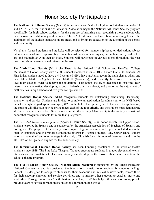## Honor Society Participation

The **National Art Honor Society** (NAHS) is designed specifically for high school students in grades 11 and 12. In 1978, the National Art Education Association began the National Art Honor Society program specifically for high school students, for the purpose of inspiring and recognizing those students who have shown an outstanding ability in art. The NAHS strives to aid members in working toward the attainment of the highest standards in art areas, and to bring art education to the attention of the school and community.

Visual arts-focused students at Pine Lake will be selected for membership based on dedication, subject interest, and academic responsibility. Students must be a junior or higher, be on their third year/level of art, and maintain an A in their art class. Students will participate in various events throughout the year that bring about awareness and interest in the arts.

The **Math Honor Society (**Mu Alpha Theta) is the National High School and Two-Year College Mathematics Honor Society with 99,000 student members in June 2013 in more than 2000 schools. At Pine Lake, students need to have a 4.0 weighted GPA, have an A average in the math classes taken, and have taken Math 1 (Algebra 1) and Math II (Geometry), and currently be enrolled in a higher level math class in order to receive the invitation. This honor society is dedicated to inspiring keen interest in mathematics, developing strong scholarship in the subject, and promoting the enjoyment of mathematics in high school and two-year college students.

The **National Honor Society** (NHS) recognizes students for outstanding scholarship, leadership, character, and service. Students are invited to complete an application for admission to the NHS based on a 4.2 weighted grade-point average (GPA) in the fall of their junior year. In the student's application, the student will illustrate how he or she meets each of the four criteria, and the student must demonstrate all four characteristics to be offered admission into the Society. Membership in the Society is a national honor that recognizes students for more than just grades.

The *Sociedad Honoraria Hispánica* (**Spanish Honor Society**) is an honor society for Upper School students enrolled in Spanish and is sponsored by the American Association of Teachers of Spanish and Portuguese. The purpose of the society is to recognize high achievement of Upper School students in the Spanish language and to promote a continuing interest in Hispanic studies. Any Upper school student who has maintained an honor average in the study of Spanish for a minimum of three years and is in the  $10^{th}$ ,  $11^{th}$ , or  $12^{th}$  grade is eligible for the honor society.

The **International Thespian Honor Society** has been honoring excellence in the work of theatre students since 1929. The Pine Lake Thespian Troupes encompass students in grades eleven and twelve. Students earn an invitation to Thespian Society membership on the basis of their achievements in the school's theatre program.

The **TRI-M Music Honor Society (Modern Music Masters)** is sponsored by the Music Educators National Convention and is considered the international music honor society for students in High School. It is designed to recognize students for their academic and musical achievements, reward them for their accomplishments and service activities, and to inspire other students to excel at music and leadership. Through more than 5,500 chartered chapters, Tri-M has helped thousands of young people provide years of service through music in schools throughout the world.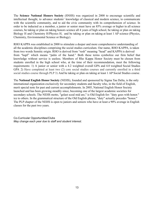The **Science National Honors Society** (SNHS) was organized in 2000 to encourage scientific and intellectual thought, to advance students' knowledge of classical and modern science, to communicate with the scientific community, and to aid the civic community with its comprehension of science. In order to be inducted as a member, a junior or senior must have an 85% average or higher in all science courses, be taking or plan on taking honors science all 4 years of high school, be taking or plan on taking Biology H and Chemistry H/Physics H, and be taking or plan on taking at least 1 AP science (Physics, Chemistry, Environmental Science or Biology).

RHO KAPPA was established in 2000 to stimulate a deeper and more comprehensive understanding of all the academic disciplines comprising the social studies curriculum. Our name, RHO KAPPA, is taken from two words Semitic origin. RHO is derived from "resh" meaning "head" and KAPPA is derived from "kapf" which means "palm of the hand." Both these terms symbolize our firm belief that knowledge without service is useless. Members of Rho Kappa Honor Society must be chosen from students enrolled in the high school who, at the time of their recommendation, meet the following requirements: 1) A junior or senior with a 4.2 weighted overall GPA and 4.0 weighted Social Studies GPA 2) Have completed at least two (2) core social studies courses and currently enrolled in a third social studies course through PLP 3) And be taking or plan on taking at least 1 AP Social Studies course.

The **National English Honor Society** (NEHS), founded and sponsored by [Sigma Tau Delta](http://www.english.org/), is the only international organization exclusively for secondary students and faculty who, in the field of English, merit special note for past and current accomplishments. In 2005, National English Honor Society launched and has been growing steadily since, becoming one of the largest academic societies for secondary schools. The NEHS motto, "gelast sceal mid are," is Old English for: "duty goes with honor." ice to others. In the grammatical structure of the Old English phrase, "duty" actually precedes "honor." The PLP chapter of the NEHS is open to juniors and seniors who have at least a 90% average in English classes for the past two years.

Co-Curricular Opportunities/Clubs *May change each year due to staff and student interest.*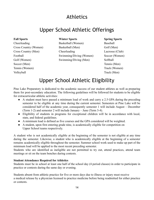## Athletics

## Upper School Athletic Offerings

Cheerleading Basketball (Women) Baseball Soccer (Men) Tennis (Men) Tennis (Women) Track (Women) Volleyball Track (Men)

#### **Fall Sports Winter Sports Spring Sports**

Cross Country (Women) Basketball (Men) Golf (Men) Cross Country (Men) Cheerleading Lacrosse (Club) Football Swimming/Diving (Women) Soccer (Women) Golf (Women) Swimming/Diving (Men) Softball

## Upper School Athletic Eligibility

Pine Lake Preparatory is dedicated to the academic success of our student athletes as well as preparing them for post-secondary education. The following guidelines will be followed for students to be eligible for extracurricular athletic activities:

- A student must have passed a minimum load of work and carry a 2.5 GPA during the preceding semester to be eligible at any time during the current semester. Semesters at Pine Lake will be considered half of the academic year, consequently semester 1 will include August – December (Term 1-2) and semester 2 will include January – June (Term 3-4).
- Eligibility of students in programs for exceptional children will be in accordance with local, state, and federal guidelines.
- A minimum load is defined as five courses and the GPA considered will be weighted.
- A student, upon first entering grade nine, is academically eligible for competition on Upper School teams respectively.

A student who is not academically eligible at the beginning of the semester is not eligible at any time during the semester. Likewise, a student who is academically eligible at the beginning of a semester remains academically eligible throughout the semester. Summer school work used to make up part of the minimum load will be applied to the most recent preceding semester.

Students who are identified as ineligible are not permitted to try out, attend practices, attend team meetings or sit on the team benches during contests.

#### **Student Attendance Required for Athletics**

Students must be in school at least one half of the school day (4 period classes) in order to participate in practice or contests during the same day or evening.

Students absent from athletic practice for five or more days due to illness or injury must receive a medical release by a physician licensed to practice medicine before being readmitted for either practice or contests.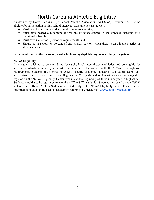## North Carolina Athletic Eligibility

As defined by North Carolina High School Athletic Association (NCHSAA) Requirements: To be eligible for participation in high school interscholastic athletics, a student . . .

- Must have 85 percent attendance in the previous semester,
- Must have passed a minimum of five out of seven courses in the previous semester of a traditional schedule,
- Must have met school promotion requirements, and
- Should be in school 50 percent of any student day on which there is an athletic practice or athletic contest.

#### **Parents and student athletes are responsible for knowing eligibility requirements for participation.**

#### **NCAA Eligibility**

Any student wishing to be considered for varsity-level intercollegiate athletics and be eligible for athletic scholarships senior year must first familiarize themselves with the NCAA [Clearinghouse](http://www.ncaa.org/wps/wcm/connect/public/NCAA/Eligibility/) [requirements.](http://www.ncaa.org/wps/wcm/connect/public/NCAA/Eligibility/) Students must meet or exceed specific academic standards, test cutoff scores and amateurism criteria in order to play college sports. College-bound student-athletes are encouraged to register on the NCAA [Eligibility](http://www.eligibilitycenter.org/) Center website at the beginning of their junior year in highschool. Students should also be registered to take the ACT or SAT as a junior. Students may use the code "9999" to have their official ACT or SAT scores sent directly to the NCAA Eligibility Center. For additional information, including high school academic requirements, please visit [www.eligibilitycenter.org.](http://www.eligibilitycenter.org.)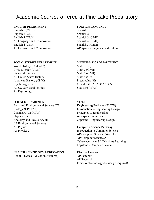## Academic Courses offered at Pine Lake Preparatory

#### **ENGLISH DEPARTMENT FOREIGN LANGUAGE**

English 1 (CP/H) Spanish 1 English 2 (CP/H) Spanish 2 English 3 (CP/H) Spanish 3 (CP/H) AP Language and Composition Spanish 4 (CP/H) English 4 (CP/H) Spanish 5 Honors

#### **SOCIAL STUDIES DEPARTMENT MATHEMATICS DEPARTMENT**

World History  $(CP/H/AP)$  Math  $1(CP)$ Civic Literacy (CP/H) Math 2 (CP/H) Financial Literacy Math 3 (CP/H) AP United States History Math 4 (CP) American History (CP/H) Precalculus (H)  $AP \text{ US } Gov$ <sup>2</sup>t and Politics  $SHAP$ AP Psychology

#### **SCIENCE DEPARTMENT STEM**

Earth and Environmental Science (CP) **Engineering Pathway (PLTW)** Biology (CP/H/AP) Introduction to Engineering Design Chemistry (CP/H/AP) Principles of Engineering Physics (H) Aerospace Engineering Anatomy and Physiology (H) Capstone - Engineering Design AP Environmental Science AP Physics 1 **Computer Science Pathway** AP Physics 2 Introduction to Computer Science

#### **HEALTH AND PHYSICAL EDUCATION Elective Courses**

Health/Physical Education (required) AP Seminar

AP Literature and Composition AP Spanish Language and Culture

Psychology (H) Calculus (H/AP AB/ AP BC)

AP Computer Science Principles AP Computer Science A Cybersecurity and AI/Machine Learning Capstone - Computer Science

AP Research Ethics of Technology (Senior yr. required)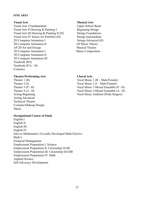#### **FINE ARTS**

Visual Arts I Fundamentals Upper School Band Visual Arts II Drawing & Painting I Beginning Strings Visual Arts III Drawing  $&$  Painting II (H) Strings Foundations Visual Arts IV Senior Art Portfolio (H) Strings Intermediate 2D Computer Animation I Strings Advanced (H) 2D Computer Animation II AP Music Theory AP 2D Art and Design Musical Theatre 3D Computer Animation I Music Composition 3D Computer Animation II 3D Computer Animation III Yearbook (B/I) Yearbook  $(P/A - H)$ Ceramics

#### **Visual Arts Musical Arts**

#### **Theater/Performing Arts Choral Arts**

Acting Advanced Technical Theatre Costume/Makeup Design Dance

#### **Occupational Course of Study**

English I English II English III English IV Intro to Mathematics I/Locally Developed Math Elective Math I Financial Management Employment Preparation I: Science Employment Preparation II: Citizenship IA/IB Employment Preparation III: Citizenship IIA/IIB Employment Preparation IV: Math Applied Science Self Advocacy Development

Theater 1 (B) Vocal Music 1 (B – Male/Female) Theater 2 (I) Vocal Music 2 (I – Male/Female) Theater 3 (P - H) Vocal Music 3 Mixed Ensemble (P - H) Theater 4 (A - H) Vocal Music 4 Mixed Ensemble (A - H) Acting Beginning Vocal Music Audition (Pride Singers)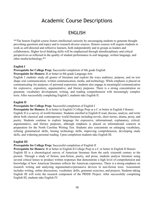## Academic Course Descriptions

## ENGLISH

\*\*The honors English course fosters intellectual curiosity by encouraging students to generate thought provoking questions and topics and to research diverse sources. Honors courses will require students to work as self-directed and reflective learners, both independently and in groups as leaders and collaborators. Higher level thinking skills will be emphasized through interdisciplinary and critical perspectives as reflected in the quality of student performance in oral language, written language, and other media/technology.\*\*

#### **English I**

**Prerequisite for College Prep:** Successful completion of 8th grade English

#### **Prerequisite for Honors:** B or better in 8th grade Language Arts

English I students study all genres of literature and explore the ways audience, purpose, and on text shape oral communication, written communication, media, and technology. While emphasis is placed on communicating for purposes of personal expression, students also engage in meaningful communication for expressive, expository, argumentative, and literary purposes. There is a strong concentration on grammar, vocabulary development, writing, and reading comprehension with increasingly complex texts. After successfully completing English I, students take English II.

#### **English II**

#### **Prerequisite for College Prep:** Successful completion of English I

**Prerequisite for Honors:** B or better in English I College Prep or a C or better in English I Honors English II is a survey of world literature. Students enrolled in English II read, discuss, analyze, and write about both classical and contemporary world literature including novels, short stories, drama, prose, and poetry. Students continue to explore language for expressive, informational, explanatory, critical, argumentative, and literary purposes, although emphasis is placed on informational contexts in preparation for the North Carolina Writing Test. Students also concentrate on enlarging vocabulary, refining grammatical skills, honing technology skills, improving comprehension, developing study skills, and widening personal reading. Upon completion students take English III.

#### **English III**

#### **Prerequisite for College Prep:** Successful completion of English II

**Prerequisite for Honors:** B or better in English II College Prep or a C or better in English II Honors English III is a chronological survey of American literature from the early sixteenth century to the present. Through a study of fiction, non-fiction, poetry, and prose, students analyze literature using several critical lenses to produce written responses that demonstrate a high level of comprehension and knowledge of how American literature reflects the American experience. There is a strong emphasis on research writing and analyzing argumentative/persuasive devices in non-fiction texts. Assessment includes writing, online discussions, vocabulary drills, grammar exercises, and projects. Students taking English III will write the research component of the PRIDE Project. After successfully completing English III, students take English IV.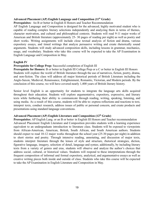#### **Advanced Placement (AP) English Language and Composition (11 th Grade)**

#### **Prerequisites:** An B or better in English II Honors and Teacher Recommendation

AP English Language and Composition is designed for the advanced, highly motivated student who is capable of reading complex literary selections independently and analyzing them in terms of themes, character motivation, and cultural and philosophical contexts. Students will read 9-11 major works of American and British literature (approximately 25- 30 pages of reading per night) as well as poetry and short works. Writing assignments will include close textual analysis of fiction and drama, various expository essays, and timed writings that analyze persuasive writing and create rhetorically sound arguments. Students will study advanced composition skills, including lessons in grammar, mechanics, usage, and vocabulary. Students who take this course will be expected to take the AP Examination in English Language and Composition in May.

#### **English IV**

#### **Prerequisite for College Prep:** Successful completion of English III

**Prerequisite for Honors:** B or better in English III College Prep or a C or better in English III Honors Students will explore the world of British literature through the use of narratives, fiction, poetry, drama, and non-fiction. The class will address all major historical periods of British Literature including the Anglo-Saxon, Medieval, Renaissance, Enlightenment, Romantic, Victorian, and Modern periods. By the conclusion of this course, we will have covered nearly 1,400 years of British literary history.

Senior level English is an opportunity for students to integrate the language arts skills acquired throughout their education. Students will explore argumentative, expository, expressive, and literary texts while furthering their ability to communicate through reading, writing, speaking, listening, and using media. As a result of this course, students will be able to: express reflections and reactions to text, interpret texts, conduct research, address issues of public or personal concern, and create products and presentations using standard language conventions.

#### **Advanced Placement (AP) English Literature and Composition (12th Grade)**

**Prerequisites**: AP English Lang. or an B or better in English III Honors and Teacher recommendation Advanced Placement English Literature and Composition provides students with a learning experience equivalent to an undergraduate introduction to literature class. Students will be exposed to viewpoints from African-American, American, British, South African, and South American authors. Students should expect to read 10-12 major works throughout the school year (25-30 pages per night) in addition to short stories and poetry. Through intensive reading, annotating, and discussion of major texts, students interpret literature through the lenses of style and structure, rhetorical strategies, diction, figurative language, imagery, selection of detail, language and syntax; additionally, by including literary texts from a variety of genres and eras, students will observe and analyze the author's choices that address social, cultural, or historical values. Students will respond to these interpretations through the frequent composition of informal and formal expository, analytical, and argumentative essays as well as creative writing pieces both inside and outside of class. Students who take this course will be expected to take the AP Examination in English Literature and Composition in May.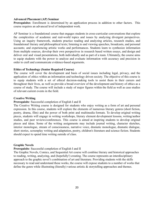#### **Advanced Placement (AP) Seminar**

**Prerequisites**: Enrollment is determined by an application process in addition to other factors. This course requires an advanced level of independent work.

AP Seminar is a foundational course that engages students in cross-curricular conversations that explore the complexities of academic and real-world topics and issues by analyzing divergent perspectives. Using an inquiry framework, students practice reading and analyzing articles, research studies, and foundational literary and philosophical texts; listening to and viewing speeches, broadcasts, and personal accounts; and experiencing artistic works and performances. Students learn to synthesize information from multiple sources, develop their own perspectives in research based written essays, and design and deliver oral and visual presentations, both individually and as part of a team. Ultimately, the course aims to equip students with the power to analyze and evaluate information with accuracy and precision in order to craft and communicate evidence-based arguments.

#### **Ethics of Technology (Senior Required Course)**

The course will cover the development and basis of social issues including legal, privacy, and the application of ethics within an information and technology driven society. The objective of this course is to equip students with a set of ethical decision-making tools to assist them in their careers and throughout their lives, as well as provide a broad overview of the development and history of ethics as a course of study. The course will include a study of major figures within the field as well as case studies of relevant current events in the field.

#### **Creative Writing**

#### **Prerequisite**: Successful completion of English I and II

The Creative Writing course is designed for students who enjoy writing as a form of art and personal expression. In this course, students will explore the elements of numerous literary genres (short fiction, poetry, drama, film) and the power of both print and multimedia formats. To develop original writing pieces, students will engage in writing workshops, literary element development lessons, writing/author studies, and peer reviews/conferences. This course is aimed at inspiring students to develop original pieces and ideas. Some of the writing assignments may include journal writing, character sketches, interior monologue, stream of consciousness, narrative voice, dramatic monologue, dramatic dialogue, short stories, screenplay writing and adaptation, poetry, children's literature and science fiction. Students should expect to spend time writing outside of class.

#### **Graphic Novels**

#### **Prerequisite**: Successful completion of English I and II

The Graphic Novels, Comics, and Sequential Art course will combine literary and historical approaches to reading, writing, analyzing, and (hopefully!) creating. The course represents an interdisciplinary approach to the graphic novel's combination of art and literature. Providing students with the skills necessary to read and understand these works, the course will expose students to a number of works that define the genre while illustrating (literally) various artistic & storytelling approaches and themes.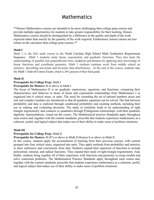## Mathematics

\*\*Honors Mathematics courses are intended to be more challenging than college prep courses and provide multiple opportunities for students to take greater responsibility for their learning. Honors Mathematics courses should be distinguished by a difference in the quality and depth of the work expected rather than merely by the quantity of the work required. Furthermore, honors classes are less reliant on the calculator than college prep courses.\*\*

#### **Math I**

Math 1 is the first math course in the North Carolina High School Math Graduation [Requirement](https://files.nc.gov/dpi/documents/files/nc-2020-21-mathematics-options-chart-rev-june-2020-1.pdf) [Sequence.](https://files.nc.gov/dpi/documents/files/nc-2020-21-mathematics-options-chart-rev-june-2020-1.pdf) Math 1 students study linear, exponential, and quadratic functions. They also learn the understanding of parallel and perpendicular lines, midpoint and distance by applying their knowledge of linear functions and coordinate geometry. Math 1 students continue work from middle school on statistics, describing univariate and bivariate data distributions. At the end of the course, students take the [Math 1 End-of-Course Exam](https://www.dpi.nc.gov/districts-schools/testing-and-school-accountability/state-tests/end-course-eoc), which is 20% percent of their final grade.

#### **Math II**

#### **Prerequisite for College Prep:** Math I

#### **Prerequisite for Honors:** B or above in Math I

The focus of Mathematics II is on quadratic expressions, equations, and functions; comparing their characteristics and behavior to those of linear and exponential relationships from Mathematics I as organized into 6 critical areas, or units. The need for extending the set of rational numbers arises and real and complex numbers are introduced so that all quadratic equations can be solved. The link between probability and data is explored through conditional probability and counting methods, including their use in making and evaluating decisions. The study of similarity leads to an understanding of right triangle trigonometry and connects to quadratics through Pythagorean relationships, with their quadratic algebraic representations, round out the course. The Mathematical practice Standards apply throughout each course and, together with the content standards, prescribe that students experience mathematics as a coherent, useful, and logical subject that makes use of their ability to make sense of problem situations.

#### **Math III**

#### **Prerequisite for College Prep:** Math II

**Prerequisite for Honors:** B (87) or above in Math II Honors/A or above in Math II

In this course, students apply the accumulation of learning from their previous courses, with content grouped into four critical areas, organized into units. They apply methods from probability and statistics to draw inferences and conclusions from data. Students expand their repertoire of functions to include polynomial, rational, and radical functions. They expand their study of right triangle trigonometry. And, finally, students bring together all of their experience with functions and geometry to create models and solve contextual problems. The Mathematical Practice Standards apply throughout each course and, together with the content standards, prescribe that students experience mathematics as a coherent, useful, and logical subject that makes use of their ability to make sense of problem situations.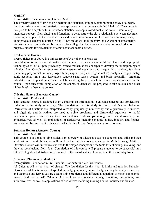#### **Math IV**

#### **Prerequisite:** Successful completion of Math 3

The primary focus of Math 4 is on functions and statistical thinking, continuing the study of algebra, functions, trigonometry and statistical concepts previously experienced in NC Math 1-3. The course is designed to be a capstone to introductory statistical concepts. Additionally, the course intentionally integrates concepts from algebra and functions to demonstrate the close relationship between algebraic reasoning as applied to the characteristics and behaviors of more complex functions. In many cases, undergraduate students majoring in non-STEM fields will take an entry-level Algebra or Introductory Statistics course. Students will be prepared for college level algebra and statistics or as a bridge to prepare students for Precalculus or other advanced math courses.

#### **Pre-Calculus Honors**

#### **Prerequisite:** B or above in Math III Honors/ A or above in Math III

Pre-Calculus is an advanced mathematics course that uses meaningful problems and appropriate technologies to build upon previously learned mathematical concepts to develop the underpinnings of calculus. Pre- Calculus closely examines systems of equations and inequalities, matrices, functions (including polynomial, rational, logarithmic, exponential, and trigonometric), analytical trigonometry, conic sections, limits and derivatives, sequence and series, vectors, and basic probability. Graphing calculators and application software will be used regularly to teach and assess topics presented in the course. Upon successful completion of the course, students will be prepared to take calculus and other higher-level mathematics courses.

#### **Calculus Honors (Semester Course)**

#### **Prerequisite:** Pre-Calculus

This semester course is designed to give students an introduction to calculus concepts and applications. Calculus is the study of change. The foundation for this study is limits and function behavior. Derivatives of functions are interpreted verbally, graphically, numerically, and algebraically. Numerical and algebraic anti-derivatives are used to solve problems, and differential equations to model exponential growth and decay. Calculus explores relationships among functions, derivatives, and antiderivatives, as well as applications of derivatives including moving bodies, industry and finance. Students will be prepared to advance to AP Calculus AB, or first-year calculus in college.

#### **Statistics Honors (Semester Course)**

#### **Prerequisite:** Math III

This course is designed to give students an overview of advanced statistics concepts and skills and their applications. The skills learned will build on the statistics concepts learned in Math I through Math III. Statistics Honors will introduce students to the major concepts and the tools for collecting, analyzing, and drawing conclusions from data. Completion of this course will prepare students to be successful in a future college-level statistics course as well as the use of statistical concepts in their everyday lives.

#### **Advanced Placement Calculus AB**

#### **Prerequisite:** B or better in Pre-Calculus, C or better in Calculus Honors

AP Calculus AB is the study of change. The foundation for this study is limits and function behavior. Derivatives of functions are interpreted verbally, graphically, numerically, and algebraically. Numerical and algebraic antiderivatives are used to solve problems, and differential equations to model exponential growth and decay. AP Calculus AB explores relationships among functions, derivatives, and antiderivatives, as well as applications of derivatives including moving bodies, industry and finance.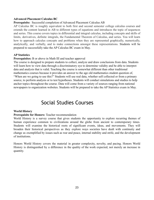#### **Advanced Placement Calculus BC**

#### **Prerequisite:** Successful completion of Advanced Placement Calculus AB

AP Calculus BC is roughly equivalent to both first and second semester college calculus courses and extends the content learned in AB to different types of equations and introduces the topic of sequences and series. This course covers topics in differential and integral calculus, including concepts and skills of limits, derivatives, definite integrals, the Fundamental Theorem of Calculus, and series. You will learn how to approach calculus concepts and problems when they are represented graphically, numerically, analytically, and verbally, and to make connections amongst these representations. Students will be prepared to successfully take the AP Calculus BC exam in May.

#### **AP Statistics**

#### **Prerequisites:** B or above in Math III and teacher approval

The course is designed to prepare students to collect, analyze and draw conclusions from data. Students will learn how to view data through a discriminatory eye to determine validity and be able to interpret data and analysis that is valid. Teaching the course is somewhat different than other traditional mathematics courses because it provides an answer to the age old mathematics student question of, "When are we going to use this?" Students will use real data, whether self collected or from a primary source, to perform analysis or to test hypotheses. Students will conduct simulations and studies to help anchor topics throughout the course. Data will come from a variety of sources ranging from national newspapers to organization websites. Students will be prepared to take the AP Statistics exam in May.

## Social Studies Courses

#### **World History**

#### **Prerequisite for Honors:** Teacher recommendation

World History is a survey course that gives students the opportunity to explore recurring themes of human experience common to civilizations around the globe from ancient to contemporary times. Students will examine the historical roots of significant events, ideas, and movements. They will broaden their historical perspectives as they explore ways societies have dealt with continuity and change as exemplified by issues such as war and peace, internal stability and strife, and the development of institutions.

Honors World History covers the material in greater complexity, novelty, and pacing. Honors World History is distinguished by a difference in the quality of the work expected, not merely an increase in quantity.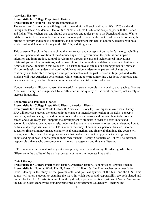#### **American History Prerequisite for College Prep:** World History **Prerequisite for Honors:** Teacher Recommendation

The American History course will begin with the end of the French and Indian War (1763) and end through the latest Presidential Election (i.e. 2020, 2024, etc.). While the scope begins with the French and Indian War, teachers can and should use concepts and topics prior to the French and Indian War to establish context. For example, teachers are encouraged to draw on the context of the early colonies, the origins of slavery, indigenous populations, and enlightenment thinkers. In addition, students will have studied colonial American history in the 4th, 5th, and 8th grades.

This course will explore the overarching themes, trends, and concepts of our nation's history, including the development and evolution of the American system of government, the patterns and impact of migration and immigration, cultural development through the arts and technological innovations, relationships with foreign nations, and the role of both the individual and diverse groups in building the American story. Students in this course will be asked to investigate major turning points in American History to develop an understanding of multiple causation, to determine patterns of change and continuity, and to be able to compare multiple perspectives of the past. Rooted in Inquiry-based skills, students will trace American development while learning to craft compelling questions, synthesize and evaluate evidence, develop claims, communicate ideas, and take informed action.

Honors American History covers the material in greater complexity, novelty, and pacing. Honors American History is distinguished by a difference in the quality of the work expected, not merely an increase in quantity.

#### **Economics and Personal Finance**

**Prerequisite for College Prep:** World History, American History

**Prerequisite for Honors:** World History H, American History H; B or higher in American History *EPF* will provide students the opportunity to engage in intensive application of the skills, concepts, processes, and knowledge gained in previous social studies courses and prepare them to be college, career, and civic ready. EPF supports the development of students in order to better understand economic decisions, use money wisely, understand education and career choices, and understand how to be financially responsible citizens. EPF includes the study of economics, personal finance, income, education finance, money management, critical consumerism, and financial planning. The course will be augmented by related learning experiences that enable students to apply their knowledge and understanding of how to participate in their own financial literacy. Graduates of EPF will be informed, responsible citizens who are competent in money management and financial literacy.

EPF Honors covers the material in greater complexity, novelty, and pacing. It is distinguished by a difference in the quality of the work expected, not merely an increase in quantity.

#### **Civic Literacy**

**Prerequisite for College Prep:** World History, American History, Economics & Personal Finance **Prerequisite for Honors:** World His. H, Amer. His. H, Econ. & Fin. H or teacher recommendation Civic Literacy is the study of the governmental and political systems of the N.C. and the U.S. This course will allow students to examine the ways in which power and responsibility are both shared and limited by the U.S. Constitution and how the judicial, legal, and political systems of North Carolina and the United States embody the founding principles of government. Students will analyze and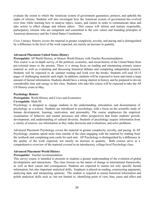evaluate the extent to which the American system of government guarantees, protects, and upholds the rights of citizens. Students will also investigate how the American system of government has evolved over time while learning how to analyze topics, issues, and claims in order to communicate ideas and take action to effect change and inform others. This course will inform and nurture responsible, participatory citizens who are competent and committed to the core values and founding principles of American democracy and the United States Constitution.

Civic Literacy Honors covers the material in greater complexity, novelty, and pacing and is distinguished by a difference in the level of the work expected, not merely an increase in quantity.

#### **Advanced Placement United States History**

**Prerequisite:** AP World History, or Honors World History with Teacher Recommendation

This course is an in-depth survey of the political, economic, and social history of the United States from pre-colonial times to the present. There is a strong focus on reading and interpreting primary source material as well as evaluating and discussing historical debates and completing independent research. Students will be expected to do summer reading and work over the breaks. Students will read 10-15 pages of challenging material each night. In addition, students will be expected to learn and retain a large amount of factual information. Students should have a strong interest in history and be prepared to devote considerable time and energy to this class. Students who take this course will be expected to take the AP US History exam in May.

#### **Psychology Honors**

**Prerequisite:** World History and Civics and Economics

#### **Co-requisite:** Math III

Psychology is designed to engage students in the understanding, articulation, and dissemination of psychology as a science. Students are introduced to psychology, with a focus on the scientific study of human development, learning, motivation, and personality. The course emphasizes the empirical examination of behavior and mental processes and offers perspectives that foster students' growth, development, and understanding of cultural diversity. Students of psychology acquire information from a variety of sources, use information as they make decisions and evaluations, and solve problems.

Advanced Placement Psychology covers the material in greater complexity, novelty, and pacing. In AP Psychology, students spend more time outside of the class engaging with the material by reading from the textbook and completing note cards for each unit. AP Psychology is distinguished by a difference in the quality of the work expected, not merely an increase in quantity. Both courses serve as a comprehensive overview of the material covered in an introductory, college-level Psychology class.

#### **Advanced Placement World History**

**Prerequisite:** Teacher recommendation.

This survey course is intended to promote in students a greater understanding of the evolution of global developments and interactions. This class focuses on the nature of change in international frameworks, as well as their causes and consequences. Students are expected to master not only specific factual information, but also important analytical skills. Emphasis is placed on reading, constructing arguments, analyzing data, and interpreting opinions. The student is required to master historical information and polish analytical skills such as, but not limited to, identifying point of view, bias, cause and effect and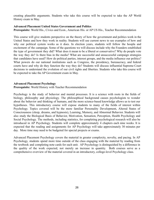creating plausible arguments. Students who take this course will be expected to take the AP World History exam in May.

#### **Advanced Placement United States Government and Politics**

**Prerequisite:** World His., Civics and Econ., American His. or AP US His., Teacher Recommendation

This course will give students perspective on the theory of how the government and politics work in the United States and how they work in reality. Students will use current news to see examples of how and why our political system works as it does. In election years, students will follow the hoopla and excitement of the campaign. Some of the questions we will discuss include why the Founders established the type of government they did? What does it mean to be a liberal or conservative? Why do people vote the way they do? Is there bias in the media? What are successful and unsuccessful campaign strategies that candidates have used? How do political parties, interest groups, and the media influence our politics? What powers do our national institutions such as Congress, the presidency, bureaucracy, and federal courts have and why do they function the way they do? Students will discuss influential Supreme Court decisions to understand the evolution of our civil rights and liberties. Students who take this course will be expected to take the AP Government exam in May.

#### **Advanced Placement Psychology**

**Prerequisite:** World History with Teacher Recommendation

Psychology is the study of behavior and mental processes. It is a science with roots in the fields of biology, philosophy and physiology. The philosophical background causes psychologists to wonder about the behavior and thinking of humans, and the more science-based knowledge allows us to test our hypotheses. This introductory course will expose students to many of the fields of interest within Psychology. Topics covered will be the more familiar Personality Development, Altered States of Consciousness (sleep, dreams, and hypnosis), Learning, Memory, and Abnormal Behavior. Students will also study the Biological Basis of Behavior, Motivation, Sensation, Perception, Health Psychology and Social Psychology. The methods, including statistics, for completing psychological research will also be introduced in AP Psychology. Students will complete approximately 4 chapters each nine weeks. It is expected that the reading and assignments for AP Psychology will take approximately 30 minutes per day. More time may need to be budgeted for special projects or exams.

Advanced Placement Psychology covers the material in greater complexity, novelty, and pacing. In AP Psychology, students spend more time outside of the class engaging with the material by reading from the textbook and completing note cards for each unit. AP Psychology is distinguished by a difference in the quality of the work expected, not merely an increase in quantity. Both courses serve as a comprehensive overview of the material covered in an introductory, college-level Psychology class.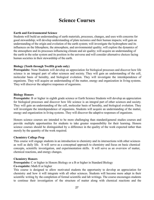## **Science Courses**

#### **Earth and Environmental Science**

Students will build an understanding of earth materials, processes, changes, and uses with concerns for good stewardship; will develop understanding of plate tectonics and their human impacts; will gain an understanding of the origin and evolution of the earth system; will investigate the hydrosphere and its influences on the lithosphere, the atmosphere, and environmental quality; will explore the dynamics of the atmosphere and its processes influencing climate and air quality; will acquire an understanding of the earth in the solar system and its position in the universe and will consider alternative choices facing human societies in their stewardship of the earth.

#### **Biology (Tenth through Twelfth grade only)**

**Prerequisite:** None Students will develop an appreciation for biological processes and discover how life science is an integral part of other sciences and society. They will gain an understanding of the cell, molecular basis of heredity, and biological evolution. They will investigate the interdependence of organisms. They will acquire an understanding of the matter, energy and organization in living systems. They will discover the adaptive responses of organisms.

#### **Biology Honors**

**Prerequisite:** B or higher in eighth grade science or Earth Science Students will develop an appreciation for biological processes and discover how life science is an integral part of other sciences and society. They will gain an understanding of the cell, molecular basis of heredity, and biological evolution. They will investigate the interdependence of organisms. Students will acquire an understanding of the matter, energy and organization in living systems. They will discover the adaptive responses of organisms.

Honors science courses are intended to be more challenging than standard/general studies courses and provide multiple opportunities for students to take greater responsibility for their learning. Honors science courses should be distinguished by a difference in the quality of the work expected rather than merely by the quantity of the work required.

#### **Chemistry College Prep**

This course will engage students in an introduction to chemistry and its intersections with other sciences as well as daily life. It will serve as a conceptual approach to chemistry and focus on basic chemical concepts, scientific investigation, and experimentation skills. It will serve as an overview of matter, chemical reactions, and energy changes.

#### **Chemistry Honors**

**Prerequisite:** C or higher in Honors Biology or a B or higher in Standard Biology

#### **Co-requisite:** Math II or higher

This course is designed to allow motivated students the opportunity to develop an appreciation for chemistry and how it will integrate with all other sciences. Students will become more adept in their scientific writing by the completion of formal scientific and lab writings. The course encourages students to continue their investigation of the structure of matter along with chemical reactions and the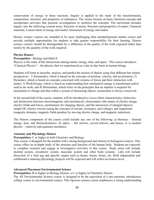conservation of energy in these reactions. Inquiry is applied to the study of the transformation, composition, structure, and properties of substances. The course focuses on basic chemical concepts and incorporates activities that promote investigations to reinforce the concepts. The curriculum includes inquiry into the following content areas: Structure of atoms, Structure and properties of matter, Chemical reactions, Conservation of energy and matter, Interaction of energy and matter.

Honors science courses are intended to be more challenging than standard/general studies course and provide multiple opportunities for students to take greater responsibility for their learning. Honors science courses should be distinguished by a difference in the quality of the work expected rather than merely by the quantity of the work required.

#### **Physics Honors**

#### **Prerequisites**: Biology and Math II

Physics is the study of the interactions among matter, energy, time, and space. This course introduces "Classical Physics" – the physics that we experienced on a day-to-day basis as human beings.

Students will learn to describe, analyze, and predict the motion of objects using four different but related perspectives. 1) Kinematics, which is based on the concepts of position, velocity, and acceleration; 2) Dynamics, which is based on concepts concerned with systems of forces and their interaction with matter; 3) Work/Energy, which is based on understanding how mechanical energy is transformed and/or used to do work; and 4) Momentum, which relies on the principles that an impulse is required for momentum to change and that within a system of interacting objects, momentum is always conserved.

In the second half of the course, students will be introduced to waves (their characteristics, behaviors, and distinctions between electromagnetic and mechanical); electrostatics (the nature of electric charge, electric fields and forces, mechanisms for charging objects, and the interaction of charged objects); simple DC electric circuits (using the concepts of current, resistance, and voltage); and magnetism (magnetic domains, magnetic fields produce by moving electric charge, and magnetic induction).

The Honors component of the course could include any one of the following: a) thermics – thermal energy, heat, and thermodynamics; b) optics – flat mirrors, curved mirrors, and lenses; or c) modern physics – relativity and quantum mechanics.

#### **Anatomy and Physiology Honors**

#### **Prerequisites:** C or higher in both Chemistry and Biology

This course is designed for the student with a strong background and interest in biological sciences. This course offers an in-depth study of the structure and function of the human body. Students are expected to complete research and engage in investigative activities in this course. Study areas will include skeletal system, circulatory system, muscular system and other body systems. Labs will include dissection of a fetal pig and specific organs such as hearts, brains, bones, etc. Both independent and collaborative anatomy/physiology projects will be expected and will reflect an honors-level.

#### **Advanced Placement Environmental Science**

**Prerequisites:** B or higher in Biology Honors, a C or higher in Chemistry Honors

The AP Environmental Science course is designed to be the equivalent of a one-semester, introductory college course in environmental science. This rigorous science course emphasizes a strong understanding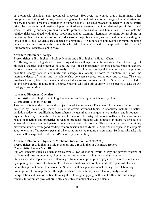of biological, chemical, and geological processes. However, the course draws from many other disciplines, including astronomy, economics, geography, and politics, to encourage a total understanding of how the natural processes interact with human actions. The class provides students with the scientific principles, concepts, and methodologies required to understand the interrelationships of the natural world, to identify and analyze environmental problems both natural and human-made, to evaluate the relative risks associated with these problems, and to examine alternative solutions for resolving or preventing them. A combination of labs, discussion, projects and analysis is critical in understanding the topics at this level. Students are expected to complete 30-45 minutes of homework per night, including intensive reading assignments. Students who take this course will be expected to take the AP Environmental Science exam in May.

#### **Advanced Placement Biology**

**Prerequisites:** a B or higher in Biology Honors and a B or higher in Honors Chemistry

AP Biology is a college-level course designed to challenge students to extend their knowledge of biological theories and processes beyond the level of an introductory science course. Students explore various themes through an in-depth analysis of the following biological topics: science as a process, evolution, energy-transfer, continuity and change, relationship of form to function, regulation, the interdependence of nature and the relationship between science, technology, and society. The class involves lectures, lab experiments, student-led discussions, quizzes, and tests. Students are expected to do extensive careful reading in this course. Students who take this course will be expected to take the AP Biology exam in May.

#### **Advanced Placement Chemistry**

**Prerequisites:** A or higher in Biology Honors and an A or higher in Chemistry Honors

#### **Co-requisite:** Honors Math III

This course is intended to meet the objectives of the Advanced Placement (AP) Chemistry curriculum designed by The College Board. The course covers advanced topics in chemistry including kinetics, oxidation-reduction, equilibrium, thermochemistry, quantitative and qualitative analysis, and introductory organic chemistry. Students will continue to develop chemistry laboratory skills and learn to predict results of reactions and properties of reaction products. Students will complete an intensive schedule of advanced lab exercises and perform independent research projects. This class is designed for highly motivated students with good reading comprehension and study skills. Students are expected to complete about one hour of homework per night, including intensive reading assignments. Students who take this course will be expected to take the AP Chemistry exam in May.

#### **Advanced Placement Physics C: Mechanics (not offered in 2022-2023)**

calculus to formulate physical principles and solve complex physical problems.

#### **Prerequisites:** B or higher in Biology Honors and a B or higher in Chemistry Honors

#### **Co-requisite:** Honors Math III

Explore concepts such as kinematics; Newton's laws of motion, work, energy and power; systems of particles and linear momentum; circular motion and rotation; oscillations; and gravitation. Students will develop a deep understanding of foundational principles of physics in classical mechanics by applying these principles to complex physical situations that combine multiple aspects of physics rather than present concepts in isolation. Students will design and conduct inquiry-based laboratory investigations to solve problems through first-hand observations, data collection, analysis and interpretation and develop critical thinking skills through applying methods of differential and integral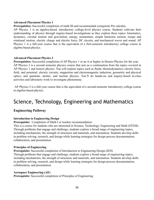#### **Advanced Placement Physics 1**

**Prerequisites:** Successful completion of math III and recommended corequisite Pre calculus.

AP Physics 1 is an algebra-based, introductory college-level physics course. Students cultivate their understanding of physics through inquiry-based investigations as they explore these topics: kinematics, dynamics, circular motion and gravitation, energy, momentum, simple harmonic motion, torque and rotational motion, electric charge and electric force, DC circuits, and mechanical waves and sound. AP Physics 1 is a full-year course that is the equivalent of a first-semester introductory college course in algebra-based physics.

#### **Advanced Placement Physics 2**

**Prerequisites:** Successful completion of AP Physics 1 or an A or higher in Honors Physics for the year. AP Physics 2 is a second semester physics course that acts as a continuation from the topics covered in AP Physics 1 and honors physics. You will explore topics such as fluids; thermodynamics; electric force, field, and potential; electric circuits; magnetism and electromagnetic induction; geometric and physical optics; and quantum, atomic, and nuclear physics. You'll do hands-on and inquiry-based in-class activities and laboratory work to investigate phenomena.

AP Physics 2 is a full-year course that is the equivalent of a second-semester introductory college course in algebra-based physics.

## Science, Technology, Engineering and Mathematics

#### **Engineering Pathway**

#### **Introduction to Engineering Design**

**Prerequisite:** Completion of Math I or teacher recommendation

This is a course for students who are interested in Science, Technology, Engineering and Math (STEM). Through problems that engage and challenge, students explore a broad range of engineering topics, including mechanisms, the strength of structures and materials, and automation. Students develop skills in problem solving, research, and design while learning strategies for design process documentation, collaboration, and presentation.

#### **Principles of Engineering**

**Prerequisite:** Successful completion of Introduction to Engineering Design (IED) Through problems that engage and challenge, students explore a broad range of engineering topics, including mechanisms, the strength of structures and materials, and automation. Students develop skills in problem solving, research, and design while learning strategies for design process documentation, collaboration, and presentation.

#### **Aerospace Engineering (AE)**

**Prerequisite:** Successful completion of Principles of Engineering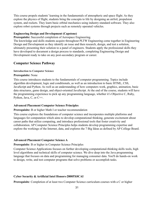This course propels students' learning in the fundamentals of atmospheric and space flight. As they explore the physics of flight, students bring the concepts to life by designing an airfoil, propulsion system, and rockets. They learn basic orbital mechanics using industry-standard software. They also explore robot systems through projects such as remotely operated vehicles.

#### **Engineering Design and Development (Capstone)**

**Prerequisite:** Successful completion of Aerospace Engineering.

The knowledge and skills students acquire throughout PLTW Engineering come together in Engineering Design and Development as they identify an issue and then research, design, and test a solution, ultimately presenting their solution to a panel of engineers. Students apply the professional skills they have developed to document a design process to standards, completing Engineering Design and Development ready to take on any post-secondary program or career.

#### **Computer Science Pathway**

#### **Introduction to Computer Science**

#### **Prerequisite:** None

This course introduces students to the fundamentals of computer programming. Topics include algorithm development, logic and conditionals, as well as an introduction to basic HTML, CSS, JavaScript and Python. As well as an understanding of how computers work, graphics, animation, basic data structures, game design, and object-oriented JavaScript. At the end of the course, students will have the programming experience to pick up any programming language, whether it's Objective C, Ruby, Python, Java, C, or C++.

#### **Advanced Placement Computer Science Principles**

#### **Prerequisite:** B or higher Math I or teacher recommendation

This course explores the foundations of computer science and incorporates multiple platforms and languages for computation which aims to develop computational thinking, generate excitement about career paths that utilize computing, and introduce professional tools that foster creativity and collaboration. AP Computer Science Principles helps students develop programming expertise and explore the workings of the Internet, data, and explores the 7 Big Ideas as defined by AP College Board.

#### **Advanced Placement Computer Science A**

#### **Prerequisite**: B or higher in Computer Science Principles

Computer Science Applications focuses on further developing computational-thinking skills tools, high level algorithms and technical skills of computer science. We dive deep into the Java programming language that focuses on data and programming for managing consumer data. You'll do hands-on work to design, write, and test computer programs that solve problems or accomplish tasks.

#### **Cyber Security & Artificial Intel Honors-28005X0CAI**

**Prerequisite**: Completion of at least two Computer Science curriculum courses with a C or higher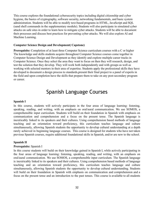This course explores the foundational cybersecurity topics including digital citizenship and cyber hygiene, the basics of cryptography, software security, networking fundamentals, and basic system administration. Students will be able to modify text-based programs in HTML, JavaScript and SQL (sand shell commands in the supplementary module). Students will also participate in simulated cyber attacks on safe sites in order to learn how to mitigate cyber attacks. Students will be able to document their processes and discuss best practices for preventing cyber attacks. We will also explore AI and Machine Learning.

#### **Computer Science Design and Development( Capstone)**

**Prerequisite:** Completion of at least three Computer Science curriculum courses with a C or higher The knowledge and skills students acquire throughout Computer Science courses come together in Computer Science Design and Development as they identify and explore multiple career tracks in Computer Science. Once they select the area they want to focus on then they will research, design, and test the solution that they develop. They will work both independently and with groups as well as working with selected mentors in their area of expertise. Students apply the professional skills they have developed to document a design process to standards,present their final project to a panel of experts in the field and upon completion have the skills that prepare them to take on any post-secondary program or career.

## Spanish Language Courses

#### **Spanish I**

In this course, students will actively participate in the four areas of language learning: listening, speaking, reading, and writing, with an emphasis on oral/aural communication. We use SOMOS, a comprehensible input curriculum. Students will build on their foundation in Spanish with emphasis on communication and comprehension and a focus on the present tense. The Spanish language is inextricably linked to its speakers and their cultures. Using comprehension based methods of language teaching and an orientation toward proficiency, this curriculum teaches language and culture simultaneously, allowing Spanish students the opportunity to develop cultural understanding at a depth rarely achieved in beginning language courses. This course is designed for students who have not taken previous Spanish courses, require additional foundational skills in Spanish, and/or are new to the school.

#### **Spanish II**

#### **Prerequisite:** Spanish I

In this course students will build on their knowledge gained in Spanish I, while actively participating in the four areas of language learning: listening, speaking, reading, and writing, with an emphasis on oral/aural communication. We use SOMOS, a comprehensible input curriculum. The Spanish language is inextricably linked to its speakers and their cultures. Using comprehension based methods of language teaching and an orientation toward proficiency, this curriculum teaches language and culture simultaneously, allowing Spanish students the opportunity to develop cultural understanding. Students will build on their foundation in Spanish with emphasis on communication and comprehension and a focus on the present tense and an introduction to the past tenses. This course is available to all students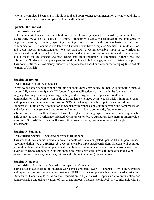who have completed Spanish I in middle school and upon teacher recommendation or who would like to reinforce what they learned in Spanish II in middle school.

#### **Spanish III Standard**

#### **Prerequisite:** Spanish II

In this course students will continue building on their knowledge gained in Spanish II, preparing them to successfully move on to Spanish III Honors. Students will actively participate in the four areas of language learning: listening, speaking, reading, and writing, with an emphasis on oral/aural communication. This course is available to all students who have completed Spanish II in middle school and upon teacher recommendation. We use SOMOS, a Comprehensible Input based curriculum. Students will build on their foundation in Spanish with emphasis on communication and comprehension and a focus on the present and past tenses and an introduction to commands, future tense, and subjunctive. Students will explore past tenses through a whole-language, acquisition-friendly approach. This course utilizes a Proficiency-oriented, Comprehension-based curriculum for emerging Intermediate learners of Spanish.

#### **Spanish III Honors**

#### **Prerequisite:** A or above in Spanish II

In this course students will continue building on their knowledge gained in Spanish II, preparing them to successfully move on to Spanish III Honors. Students will actively participate in the four areas of language learning: listening, speaking, reading, and writing, with an emphasis on oral/aural communication. This course is available to all students who have completed Spanish II in middle school and upon teacher recommendation. We use SOMOS, a Comprehensible Input based curriculum. Students will build on their foundation in Spanish with emphasis on communication and comprehension and a focus on the present and past tenses and an introduction to commands, future tense, and subjunctive. Students will explore past tenses through a whole-language, acquisition-friendly approach. This course utilizes a Proficiency-oriented, Comprehension-based curriculum for emerging Intermediate learners of Spanish.This course will show differentiation through an increase of pre-AP style assessments.

#### **Spanish IV Standard**

#### **Prerequisite:** Spanish III Standard or Spanish III Honors

This standard level course is available to all students who have completed Spanish III and upon teacher recommendation. We use HUELLAS, a Comprehensible Input based curriculum. Students will continue to build on their foundation in Spanish with emphasis on communication and comprehension and using a variety of tenses and moods. Students should feel very comfortable with all indicative mood verb tenses (present, preterite, imperfect, future) and subjunctive mood (present tense).

#### **Spanish IV Honors**

**Prerequisite:** 90 or above in Spanish III or Spanish IV Standard)

This course is available to all students who have completed HONORS Spanish III with an A average and upon teacher recommendation. We use HUELLAS, a Comprehensible Input based curriculum. Students will continue to build on their foundation in Spanish with emphasis on communication and comprehension and using a variety of tenses and moods. Students should feel very comfortable with all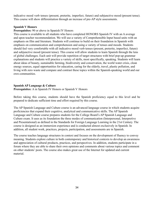indicative mood verb tenses (present, preterite, imperfect, future) and subjunctive mood (present tense). This course will show differentiation through an increase of pre-AP style assessments.

#### **Spanish V Honors**

#### **Prerequisites:** 90 or above in Spanish IV Honors

This course is available to all students who have completed HONORS Spanish IV with an A average and upon teacher recommendation. We will use a variety of Comprehensible Input based units with an emphasis on film and literature. Students will continue to build on their foundation in Spanish with emphasis on communication and comprehension and using a variety of tenses and moods. Students should feel very comfortable with all indicative mood verb tenses (present, preterite, imperfect, future) and subjunctive mood (present tense). This course will allow students to learn Spanish through the lens of global challenges. Each unit will provide repetition of target structures with brief pop-up grammar explanations and students will practice a variety of skills, most specifically, speaking. Students will learn about ideas of beauty, sustainable farming, biodiversity and conservation, the world water crisis, clean energy sources, equal opportunities for education, caring for the elderly, travel, plastic pollution, and living with zero waste and compare and contrast these topics within the Spanish-speaking world and our own communities.

#### **Spanish AP Language & Culture**

**Prerequisites:** A in Spanish IV Honors or Spanish V Honors

Before taking this course, students should have the Spanish proficiency equal to this level and be prepared to dedicate sufficient time and effort required by this course.

The AP Spanish Language and Culture course is an advanced language course in which students acquire proficiencies that expand their cognitive, analytical and communicative skills. The AP Spanish Language and Culture course prepares students for the College Board's AP Spanish Language and Culture exam. It uses as its foundation the three modes of communication (Interpersonal, Interpretive and Presentational) as defined in the Standards for Foreign Language Learning in the 21st Century. The course is designed as an immersion experience and is conducted almost exclusively in Spanish. In addition, all student work, practices, projects, participation, and assessments are in Spanish.

The course teaches language structures in context and focuses on the development of fluency to convey meaning. Students explore culture in both contemporary and historical contexts to develop an awareness and appreciation of cultural products, practices, and perspectives. In addition, students participate in a forum where they are able to share their own opinions and comments about various topics and comment on other students' posts. The course also makes great use of the Internet for updated and current material.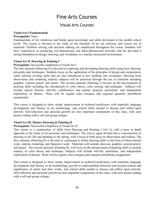## Fine Arts Courses

### Visual Arts Courses

#### **Visual Art I Fundamentals**

#### **Prerequisite:** None

Fundamentals of Art reinforces and builds upon knowledge and skills developed at the middle school levels. The course is devoted to the study of the elements of art, art criticism, and correct use of materials. Problem solving and decision making are emphasized throughout the course. Students will have experiences in producing two-dimensional and three-dimensional artworks and are provided a strong foundation in design, drawing, and vocabulary in a teacher-structured environment.

#### **Visual Art II, Drawing & Painting I**

#### **Prerequisite:** Successful completion of Visual Art I

The first semester (Drawing I) is devoted to exploring and developing drawing skills using basic drawing principles and techniques. Students focus on the application of the principles of design and composition, while refining existing skills and are also introduced to new methods and vocabulary. Drawing from observation and rendering realistic subjects will be practiced through the use of materials including graphite, colored pencil, and pastel. The second semester (Painting I) focuses on the development of painting skills including the introduction to color theory, color mixing, and technique. Subjects will include optical illusion, still-life, collaborative and partner projects, portraiture, and independent exploration of themes. There will be regular class critiques and required quarterly sketchbook assignments.

This course is designed to show steady improvement in technical proficiency with materials, language development and fluency in art terminology, and critical skills needed to discuss and reflect upon artwork. Self-reflection and personal growth are also important components of this class, with each project ending with a self and group critique.

#### **Visual Art III, Honors Drawing & Painting II**

#### **Prerequisite:** Successful completion of Visual Art II

This course is a continuation of skills from Drawing and Painting I (Art 2), with a more in depth approach to the study of art processes and techniques. The year is again divided into a concentration of drawing in the fall and painting in the spring, with a focus in both areas on observation and realism. The first semester (Drawing II) is devoted to continuing to refine drawing skills in the form of observational work, realistic rendering, and figurative work. Materials will include charcoal, graphite, colored pencil, and pastel. The second semester (Painting II), will focus on the advancement of painting skills to include mastery of color theory and technique. Subjects will include still-life, portraiture, and independent exploration of themes. There will be regular class critiques and required sketchbook assignments.

This course is designed to show steady improvement in technical proficiency with materials, language development and fluency in art terminology, growth in understanding historical and societal context and significance of artists and their works, and critical skills needed to discuss and reflect upon artwork. Self-reflection and personal growth are also important components of this class, with each project ending with a self and group critique.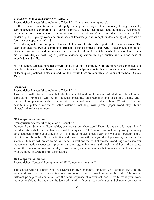#### **Visual Art IV, Honors Senior Art Portfolio**

**Prerequisite:** Successful completion of Visual Art III and instructor approval.

In this course, students refine and apply their personal style of art making through in-depth, semi-independent explorations of varied subjects, media, techniques, and aesthetics. Exceptional initiative, serious involvement, and commitment are expectations of the advanced art student. A portfolio evidencing high quality work and broad base of knowledge, and in-depth understanding of personal art forms is developed and refined.

All work originates from original reference photos taken by students as part of their summer work. The year is divided into two concentrations: Breadth (assigned projects) and Depth (independent exploration of subject and media) and culminates in the Senior Art Show, for which for which each student curates his/her own display, featuring a portfolio evidencing extremely high quality and a broad base of knowledge and skills.

Self-reflection, targeted personal growth, and the ability to critique work are important components of this class. Semester sketchbook assignments serve to help students further demonstrate an understanding of techniques practiced in class. In addition to artwork, there are monthly discussions of the book *Art and Fear.*

#### **Ceramics**

#### **Prerequisite:** Successful completion of Visual Art I

This course will introduce students to the fundamental sculptural processes of addition, subtraction and substitution. Emphasis will be on students executing, understanding and discussing quality craft, successful composition, productive conceptualization and creative problem solving. We will be learning how to manipulate a variety of tactile materials, including: wire, plaster, paper, wood, clay, "found objects", adhesives, and more!

#### **2D Computer Animation I**

#### **Prerequisite:** Successful completion of Visual Art I

Do you like to draw on a digital tablet, or draw cartoon characters? Then this course is for you... it will introduce students to the fundamentals and techniques of 2D Computer Animation, by using a drawing tablet and pen to bring your drawings to life on the computer screen. Learn the twelve different principles of animation through different activities and lessons that will help you develop a strong foundation for success. Students will create frame by frame illustrations that will showcase everything from character movements, action sequences, lip sync to audio, logo animations, and much more! Learn the process within the process on how current day films, movies, and commercials that are made with 2D animation with the same software the professionals use!

#### **2D Computer Animation II**

**Prerequisites:** Successful completion of 2D Computer Animation II

This course will build upon what you learned in 2D Computer Animation I, by learning how to refine your work and fine tune everything to a professional level. Learn how to combine all of the twelve different principles of animation into the same sequence of movement, and strive to make your work more believable to the audience. Students will work with creating storyboards and character concept art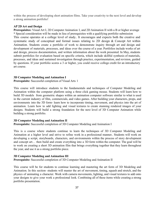within the process of developing short animation films. Take your creativity to the next level and develop a strong animation portfolio!

#### **AP 2D Art and Design**

**Prerequisites:** Visual Art I, 2D Computer Animation I, and 2D Animation II with a B or higher average **\*** Special consideration will be made in lieu of prerequisites with a qualifying portfolio submission This course operates at a college level of study.. It encourages and expects both the creative and systematic study of conceptual and formal issues relating to 2D design & Concept Art within Animation. Students create a portfolio of work to demonstrate inquiry through art and design and development of materials, processes, and ideas over the course of a year. Portfolios include works of art and design, process documentation, and written information about the work presented. In May, students submit portfolios for evaluation based on specific criteria, which include skillful synthesis of materials, processes, and ideas and sustained investigation through practice, experimentation, and revision, guided by questions. If your portfolio scores a 3 or higher, you could receive college credit for an introductory art course.

#### **3D Computer Modeling and Animation I**

**Prerequisite:** Successful completion of Visual Arts 1

This course will introduce students to the fundamentals and techniques of Computer Modeling and Animation within the computer platform using a three click gaming mouse. Students will learn how to build 3D models from geometric shapes within an animation computer software similar to what is used in the current industry of film, commercials, and video games. After building your characters, props, and environments into the 3D form- learn how to incorporate timing, movement, and physics into the art of animation. Learn how to add lighting and visual textures to create stunning rendered images of your designs. Students will build a strong foundation for the next level of 3D Computer Animation while building a strong portfolio.

#### **3D Computer Modeling and Animation II**

**Prerequisite:** Successful completion of 3D Computer Modeling and Animation I

This is a course where students continue to learn the techniques of 3D Computer Modeling and Animation at a higher level and strive to refine work in a professional manner.. Students will work on developing a script, storyboards, characters, and environments within the process of story development and concept art… then build and create everything into a 3D form within the computer. The goal will be to work on creating a short 3D animation film that brings everything together that they learn throughout the year, and use it as a strong portfolio piece.

#### **3D Computer Modeling and Animation III**

**Prerequisite:** Successful completion of 3D Computer Modeling and Animation II

This course will be for students to continue learning and mastering the art form of 3D Modeling and Animation. In this section- students will master the art of movement, timing, squash and stretch, and the physics of animating a character. Work with camera movements, lighting, and visual textures to add onto your designs to give your work a professional look. Combining all of these items while creating a strong portfolio presentation.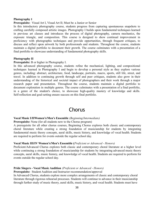#### **[Photography](https://spreadsheets.google.com/a/ncpublicschools.gov/lv?key=tF_-T4GpIVJWbd0-KNj-skg&type=view&gid=0&f=false&colid0=0&filterstr0=Art+I&sortcolid=-1&sortasc=true&rowsperpage=250) I**

**Prerequisite:** Visual Art I, Visual Art II; Must be a Junior or Senior

In this introductory photography course, students progress from capturing spontaneous snapshots to crafting carefully composed artistic images. Photography I builds upon fundamental techniques learned in previous art classes and introduces the process of digital photography, camera mechanics, the exposure triangle, and composition. This course is designed to show continual improvement in proficiency with photographic techniques and provide opportunities, through frequent critiques, to discuss and reflect upon artwork by both professionals and students. Throughout the course, students maintain a digital portfolio to document their growth. The course culminates with a presentation of a final portfolio to showcase understanding of fundamental photography skills.

#### **Photography II**

#### **Prerequisite:** B or higher in Photography I.

In this advanced photography course, students refine the mechanical, lighting, and compositional techniques learned in Photography I and begin to develop a personal style as they explore various genres, including: abstract, architecture, food, landscape, portraits, macro, sports, still life, street, and travel. In addition to continuing growth through self and peer critiques, students also grow in their understanding of the historical and societal impact of photographers and their work through a major research paper and presentation. Throughout the course, students maintain a digital portfolio to document exploration in multiple genres. The course culminates with a presentation of a final portfolio, in a genre of the student's choice, to showcase high-quality mastery of knowledge and skills. Self-reflection and goal-setting ensure success on this final portfolio.

## Chorus

#### **Vocal Music I/IIWomen's/Men's Ensemble** *(Beginning/Intermediate)*

**Prerequisite:** None (for all students new to the Chorus program)

A prerequisite for all other chorus courses, Beginning Chorus explores both classic and contemporary choral literature while creating a strong foundation of musicianship for students by integrating fundamental music theory concepts, aural skills, music history, and knowledge of vocal health. Students are required to perform for events outside the regular school day.

#### **Vocal Music III/IV Women's/Men's Ensemble (***Proficient or Advanced - Honors)*

Proficient/Advanced Chorus explores both classic and contemporary choral literature at a higher level while continuing a strong foundation of musicianship for students by integrating advanced music theory concepts, aural skills, music history, and knowledge of vocal health. Students are required to perform for events outside the regular school day.

#### **Pride Singers - Vocal Music Audition** *(Proficient or Advanced - Honors)*

**Prerequisite:** Student Audition and Instructor recommendation/approval

In Advanced Chorus, students explore more complex arrangements of classic and contemporary choral literature through rigorous rehearsal processes. Students will continue to advance in their musicianship through further study of music theory, aural skills, music history, and vocal health. Students must have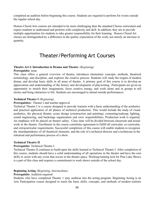completed an audition before beginning this course. Students are required to perform for events outside the regular school day.

Honors Choral Arts courses are intended to be more challenging than the standard Chorus curriculum and expect students to understand and perform with complexity and skill. In addition, they are to provide multiple opportunities for students to take greater responsibility for their learning. Honors Choral Art classes are distinguished by a difference in the quality expectation of the work, not merely an increase in quantity.

## Theater/Performing Art Courses

#### **Theatre Art I: Introduction to Drama and Theater** *(Beginning)*

#### **Prerequisite:** none

This class offers a general overview of theatre, introduces elementary concepts, methods, theatrical terminology, and discipline, and explores the creative process. Students will study the origins of modern drama, and develop basic skills in all areas of theatre. A primary goal of this course is to develop an appreciation and understanding of the history and development of playwriting. Participants are given an opportunity to stretch their imagination, focus creative energy, and work alone and in groups to tell stories and bring characters to life. Students are encouraged to attend outside performances.

#### **Technical Theater I** *(Beginning)*

#### **Prerequisites:** Theater I and teacher approval

Technical Theater I is a course designed to provide learners with a basic understanding of the aesthetics and practical application of all phases of technical production. This would include the study of visual aesthetics, the physical theater, scene design (construction and painting), costuming/makeup, lighting, sound engineering, and backstage organization and crew responsibilities. Production work is required. An emphasis will be placed on theater safety. Class time will be divided between classroom and actual work in the theatre. Enrollment in the course constitutes agreement to fulfill all curricular, co-curricular, and extracurricular requirements. Successful completion of this course will enable students to recognize the interdependence of all theatrical elements, and the role of a technical director and a technician in the rehearsal and performance process of a show.

#### **Technical Theatre II**

#### **Prerequisite:** Technical Theatre I

Technical Theater II continues to build upon the skills learned in Technical Theater I. After completion of this course, students should have a solid understanding of all operations in the theatre and have the core skills to assist with any event that occurs in the theatre space. Working/running tech for Pine Lake Shows is a part of this class and requires a commitment to work shows outside of the school day.

#### **Beginning Acting** *(Beginning, Intermediate)*

#### **Prerequisite:** Audition required

Students who have completed Theatre 1 may audition into the acting program. Beginning Acting is an Arts Participation course designed to teach the basic skills, concepts, and methods of modern realistic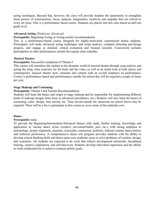acting techniques. Beyond that, however, the class will provide students the opportunity to strengthen those powers of concentration, focus, analysis, imagination, creativity and empathy that are critical to every art form. This is a performance based course. Students are placed into this class based on skill not grade level.

#### **Advanced Acting** *(Proficient, Advanced)*

#### **Prerequisite:** Beginning Acting or Acting teacher recommendation

This is a performance-based course designed for highly-motivated, experienced drama students. Participants will study advanced acting techniques and script analysis, complete directing and design projects, and engage in detailed, critical evaluation and focused research. Coursework includes participation in other performances outside the regular class schedule.

#### **Musical Theatre**

#### **Prerequisite:** Successful completion of Theatre I

This course will introduce the student to the dynamic world of musical theatre through song analysis and acting the song, class exercises for the body and the voice, as well as an initial look at both classic and contemporary musical theatre style, structure and content with an overall emphasis on performance. Course is performance based and performances outside the school day will be required a couple of times per year.

#### **Stage Makeup and Costuming**

#### **Prerequisite:** Theatre I and Teacher Recommendation

Students will learn the basics and origin of stage makeup and be responsible for implementing different kinds of makeup designs from basic to advanced (prosthetics, etc.) Students will also learn the basics of costuming: color, design, time period, etc. Time served outside the classroom on school shows may be required. There will be a fee to participate in this course to cover some of the materials cost.

#### **Dance**

#### **Prerequisite:** none

To provide the Beginning/Intermediate/Advanced dancer with study, further training, knowledge and application in various dance styles (creative movement/ballet, jazz, etc.), with strong emphasis in terminology, proper alignment, anatomy, musicality, expression, aesthetic, cultural content, dance history and technical proficiency. A comprehensive dance arts program provides students with the ability to develop critical thinking skills and draws upon core academic areas to solve problems of creation, design, and execution. All students are expected to do work that reflects development artistically, disciplined training, creative exploration, and self-discovery. Students develop individual expression and the ability to work collaboratively to achieve common artistic goals.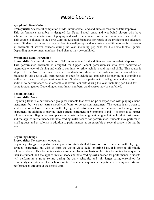## Music Courses

#### **Symphonic Band- Winds**

**Prerequisite:** Successful completion of MS Intermediate Band and director recommendation/approval. This performance ensemble is designed for Upper School brass and woodwind players who have achieved an intermediate level of playing and wish to continue to refine technique and musical skills. This course is aligned to the North Carolina Essential Standards for Music at the proficient and advanced levels. Students in this course may perform in small groups and as soloists in addition to performances as an ensemble at several concerts during the year, including pep band for 1-2 home football games. Depending on enrollment numbers, band classes may be combined.

#### **Symphonic Band- Percussion**

**Prerequisite:** Successful completion of MS Intermediate Band and director recommendation/approval. This performance ensemble is designed for Upper School percussionists who have achieved an intermediate level of playing and wish to continue to refine technique and musical skills. This course is aligned to the North Carolina Essential Standards for Music at the proficient and advanced levels. Students in this course will learn percussion specific techniques applicable for playing in a drumline as well as a concert band percussion section. Students may perform in small groups and as soloists in addition to performances as an ensemble at several concerts during the year, including pep band for 1-2 home football games. Depending on enrollment numbers, band classes may be combined.

#### **Beginning Band**

#### **Prerequisite:** None

Beginning Band is a performance group for students that have no prior experience with playing a band instrument, but wish to learn a woodwind, brass, or percussion instrument. This course is also open to students who do have experience with playing band instruments, but are interested in learning a new instrument, in addition to playing their current instrument in Symphonic Band. It is open to all upper school students. Beginning band places emphasis on learning beginning technique for their instrument, and the applied music theory and note reading skills needed for performance. Students may perform in small groups and as soloists in addition to performances as an ensemble at several concerts during the year.

#### **Beginning Strings**

#### **Prerequisite:** No prerequisite required

Beginning Strings is a performance group for students that have no prior experience with playing a stringed instrument, but wish to learn the violin, viola, cello, or string bass. It is open to all middle school students. This beginning string ensemble places emphasis on learning beginning technique for their instrument, and the applied music theory and note reading skills needed for performance. Students will perform in a group setting during the daily schedule, and join larger string ensembles for community concerts and other school events. This course requires participation in evening concerts and performances throughout the school year.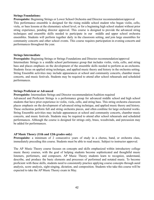#### **Strings Foundations:**

**Prerequisite:** Beginning Strings or Lower School Orchestra and Director recommendation/approval This performance ensemble is designed for the rising middle school student who began violin, cello, viola, or bass lessons at the elementary school level, or for a beginning high school student without prior string experience, pending director approval. This course is designed to provide the advanced string techniques and ensemble skills needed to participate in our middle and upper school orchestra ensembles. Students will perform together daily in the classroom setting, and join large ensembles for community concerts and other school events. This course requires participation in evening concerts and performances throughout the year.

#### **Strings Intermediate**

**Prerequisite:** Beginning Strings or Strings Foundations and Director recommendation/approval Intermediate Strings is a middle school performance group that includes violin, viola, cello, and string bass and places emphasis on the development of the ensemble skills needed to perform as an orchestra. Students focus on applied string technique, and applied music theory and history in the orchestra setting. String Ensemble activities may include appearances at school and community concerts, chamber music concerts, and music festivals. Students may be required to attend after school rehearsals and scheduled performances.

#### **Strings Proficient or Advanced**

**Prerequisite:** Intermediate Strings and Director recommendation/Audition required

Advanced and Proficient Strings is a performance group for advanced middle school and high school students that have prior experience in violin, viola, cello, and string bass. This string orchestra classroom places emphasis on the development of advanced string technique, and applied music theory and history. These orchestras perform full and string orchestra pieces, and often combine for large orchestral works. String Ensemble activities may include appearances at school and community concerts, chamber music concerts, and music festivals. Students may be required to attend after school rehearsals and scheduled performances. Although the course is designed for strings only, brass, woodwinds, and percussion may be added for performances.

#### **AP Music Theory (11th and 12th grades only)**

**Prerequisite:** a minimum of 2 consecutive years of study in a chorus, band, or orchestra class, immediately preceding this course. Students must be able to read music. Subject to instructor approval.

The AP Music Theory course focuses on concepts and skills emphasized within introductory college music theory courses, with the goal of helping students become sophisticated and thoughtful music listeners, performers, and composers. AP Music Theory students learn to recognize, understand, describe, and produce the basic elements and processes of performed and notated music. To become proficient with these skills, students need to consistently practice applying course concepts through aural analysis, score analysis, sight-singing, dictation, and composition. Students who take this course will be expected to take the AP Music Theory exam in May.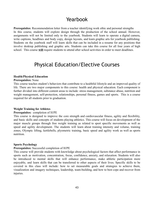## Yearbook

**Prerequisites**: Recommendation letter from a teacher identifying work ethic and personal strengths In this course, students will explore design through the production of the school annual. However, assignments will not be limited only to the yearbook. Students will learn to operate a digital camera, write captions, headlines and body copy, design layouts, and learn graphic arts for yearbook publishing. Students on the yearbook staff will learn skills that can be included in a resume for any positions that involve desktop publishing and graphic arts. Students can take this course for all four years of high school. This course **will** require students to attend after school activities in order to meet deadlines.

## Physical Education/Elective Courses

#### **Health/Physical Education**

#### **Prerequisites:** None

This course teaches student's behaviors that contribute to a healthful lifestyle and an improved quality of life. There are two major components to this course: health and physical education. Each component is further divided into different content areas to include: stress management, substance abuse, nutrition and weight management, self-protection, relationships, personal fitness, games and sports. This is a course required for all students prior to graduation.

#### **Weight Training for Athletes**

#### **Prerequisites:** completion of H/PE

This course is designed to improve the core strength and cardiovascular fitness, agility and flexibility, and basic skills and concepts of students playing athletics. This course will focus on development of the major muscle groups through free weight training as related to sport specific movements as well as speed and agility development. The students will learn about training intensity and volume, training zones, Olympic lifting, kettlebells, plyometric training, basic speed and agility work as well as sports nutrition.

#### **Sports Psychology**

#### **Prerequisites:** Successful completion of H/PE

This course will provide students with knowledge about psychological factors that affect performance in sports such as motivation, concentration, focus, confidence, anxiety, and relaxation. Students will also be introduced to mental skills that will enhance performance, make athletic participation more enjoyable, and learn skills that can be transferred to other aspects of their lives. Specific skills to be covered in this class will include: how to set measurable goals and strategies to achieve them, visualization and imagery techniques, leadership, team-building, and how to best cope and recover from injuries.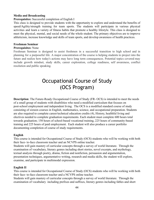#### **Media and Broadcasting**

#### **Prerequisites:** Successful completion of English I

This class is designed to provide students with the opportunity to explore and understand the benefits of speed/Agility/strength training for team sports. The students will participate in various physical activities and learn a variety of fitness habits that promote a healthy lifestyle. This class is designed to meet the physical, mental, and social needs of the whole student. The primary objectives are to improve athleticism, increase knowledge and skills of team sports, and develop awareness of health practices.

#### **Freshman Seminar**

#### **Prerequisites:** None

Freshman Seminar is designed to assist freshmen in a successful transition to high school and in planning for a purposeful life. A major concentration of the course is helping students to project into the future and realize how today's actions may have long term consequences. Potential topics covered may include growth mindset, study skills, career exploration, college readiness, self awareness, conflict resolution and public speaking.

## Occupational Course of Study (OCS Program)

**Description**: The Future-Ready Occupational Course of Study (FR- OCS) is intended to meet the needs of a small group of students with disabilities who need a modified curriculum that focuses on post-school employment and independent living. The OCS is a modified standard course of study consisting of sixteen courses in English, mathematics, science, and occupational preparation. Students are also required to complete career/technical education credits (4), History, healthful living and electives needed to complete graduation requirements. Each student must complete 600 hours total towards graduation; 150 hours of school-based vocational training, 225 hours of community-based training and 225 hours of paid employment. Each student will also produce a career portfolio documenting completion of course of study requirements.

#### **English**

This course is intended for Occupational Course of Study (OCS) students who will be working with both their face- to-face classroom teacher and an NCVPS online teacher.

Students will gain mastery of curricular concepts through a survey of world literature. Through the examination of vocabulary, literary genres including short stories, novel excerpts, and mythology, textual analysis through poetry, drama, fiction and nonfiction, persuasion and argumentation, presentation techniques, argumentative writing, research and media skills, the student will explore, examine, and participate in multimodal expression.

#### **English II**

This course is intended for Occupational Course of Study (OCS) students who will be working with both their face- to-face classroom teacher and a NCVPS online teacher.

Students will gain mastery of curricular concepts through a survey of world literature. Through the examination of vocabulary including prefixes and suffixes, literary genres including fables and short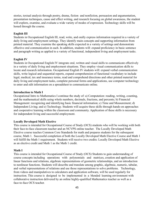stories, textual analysis through poetry, drama, fiction and nonfiction, persuasion and argumentation, presentation techniques, cause and effect writing, and research focusing on global awareness, the student will explore, examine, and evaluate a wide variety of modes of expression. Technology skills will be honed through the course.

#### **English III**

Students in Occupational English III, read, write, and orally express information required in a variety of daily living and employment settings. They identify main concepts and supporting information from printed material. They examine the speaking skills expected in a variety of settings and demonstrate effective oral communication in each. In addition, students will: expand proficiency in basic sentence and paragraph writing as applied to a variety of functional, independent living and employment tasks.

#### **English IV**

Students in Occupational English IV integrate oral, written and visual skills to communicate effectively in a variety of daily living and employment situations. They employ visual communication skills to locate and research information. Occupational English IV students will: expand verbal communication skills, write logical and sequential reports, expand comprehension of functional vocabulary to include legal, medical, tax and insurance terms, read and comprehend directions and other printed material for daily living and employment tasks, complete personal forms and applications, use computer technology to enter and edit information on a spreadsheet to communicate online.

#### **Introduction to Math I**

Occupational Intro to Mathematics I continue the study of: a) Computation: reading, writing, counting, and the mathematical skills using whole numbers, decimals, fractions, and percents; b) Financial Management: recognizing and identifying basic financial information; c) Time and Measurement; d) Independent Living; and e) Technology. Students will acquire these skills through hands-on approaches and cooperative learning within the classroom and community. Application of these skills is necessary for independent living and successful employment.

#### **Locally Developed Math Elective**

This course is intended for Occupational Course of Study (OCS) students who will be working with both their face-to-face classroom teacher and an NCVPS online teacher. The Locally Developed Math Elective course teaches Common Core Standards for math and prepares students for the subsequent course, Math 1. Successful completion of both the Locally Developed Math Elective Course and Math 1 will fulfill the Math 1 requirement. Students will receive two credits: Locally Developed Math Elective as an elective credit and Math 1 as the Math 1 credit.

#### **Math I**

This course is intended for Occupational Course of Study (OCS) Students to gain understanding of course concepts including operations with polynomials and matrices, creation and application of linear functions and relations, algebraic representations of geometric relationships, and an introduction to nonlinear functions. Students will describe and translate among graphic, algebraic, numeric, tabular, and verbal representations of relations and use those representations to solve problems. Technology, from videos and manipulatives to calculators and application software, will be used regularly for instruction. This course is designed to be implemented in a blended learning environment with collaborative instruction delivered by an online highly-qualified Mathematics teacher as well as a face-to-face OCS teacher.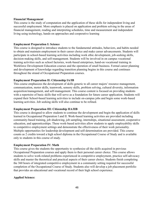#### **Financial Management**

This course is the study of computation and the application of these skills for independent living and successful employment. More emphasis is placed on application and problem solving in the areas of financial management, reading and interpreting schedules, time and measurement and independent living using technology, hands-on approaches and cooperative learning

#### **Employment Preparation I: Science**

This course is designed to introduce students to the fundamental attitudes, behaviors, and habits needed to obtain and maintain employment in their career choice and make career advancements. Students will participate in school-based learning activities including work ethic development, job-seeking skills, decision-making skills, and self-management. Students will be involved in on campus vocational training activities such as school factories, work-based enterprises, hand-on vocational training in Workforce Development Education courses and the operation of small business. Formal career planning and development of knowledge regarding transition planning begins in this course and continues throughout the strand of Occupational Preparation courses.

#### **Employment Preparation II: Citizenship IA/IB**

This course emphasizes the development of skills generic to all career majors' resource management, communication, motor skills, teamwork, sensory skills, problem solving, cultural diversity, information acquisition/management, and self-management. This course content is focused on providing students with a repertoire of basic skills that will serve as a foundation for future career application. Students will expand their School-based learning activities to include on-campus jobs and begin some work-based learning activities. Job seeking skills will also continue to be refined.

#### **Employment Preparation III: Citizenship IIA/IIB**

This course is designed to allow students to continue the development and begin the application of skills learned in Occupational Preparation I and II. Work-based learning activities are provided including community-based training, job shadowing, job sampling, internships, situational assessment, cooperative education, and apprenticeships. These work-based activities allow students to apply employability skills to competitive employment settings and demonstrate the effectiveness of their work personality. Multiple opportunities for leadership development and self-determination are provided. This course counts as 2 credits toward a high school diploma in the Occupational Course of Study and is available only to students in this course of study.

#### **Employment Preparation IV: Math**

This course gives the students the opportunity to synthesize all the skills acquired in previous Occupational Preparation courses and apply them to their personal career choice. This course allows students to solve work-related problems experienced in competitive employment, practice self-advocacy skills and master the theoretical and practical aspects of their career choice. Students finish completing the 360 hours of integrated competitive employment in a community setting required for successful completion of the Occupational Course of Study. Students also will develop a job placement portfolio that provides an educational and vocational record of their high school experience.

#### **Applied Science:**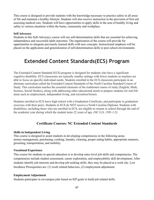This course is designed to provide students with the knowledge necessary to practice safety in all areas of life and maintain a healthy lifestyle. Students will also receive instruction in the provision of first aid assessing medical care. Students will have opportunities to apply skills in the area of healthy living and safety to various situations within the home, community and workplace.

#### **Self Advocacy**

Students in this Self-Advocacy course will use self-determination skills that are essential for achieving independence and successful adult outcomes. The organization of the course will provide for opportunities to integrate previously learned skills with new concepts. Instructional emphasis will be placed on the application and generalization of self-determination skills to post school environments

## **Extended Content Standards(ECS) Program**

The Extended Content Standard (ECS) program is designed for students who have a significant cognitive disability. ECS classrooms are typically smaller settings with fewer students so teachers are able to focus on specific individual needs. Students enrolled in the ECS classroom participate in an alternate curriculum called the Extended Content Standards of the North Carolina Standard Course of Study. This curriculum teaches the essential elements of the traditional course of study (English, Math, Science, Social Studies), along with addressing other educational needs to prepare students for real-life areas such as employment, independent living, and recreation/leisure.

Students enrolled in ECS leave high school with a Graduation Certificate, and participate in graduation exercises with their peers. Students in ECS do NOT receive a North Carolina Diploma. Students with disabilities, including those who are enrolled in ECS, are eligible to remain in school through the end of the academic year during which the student turns 22 years of age. (NC G.S. 1501-1.2)

#### **Certificate Courses: NC Extended Content Standards**

#### **Skills in Independent Living**

This course is designed to assist students in developing competencies in the following areas: money-management, purchasing, cooking, laundry, cleaning, proper eating habits, appropriate manners, grooming, transportation, and mobility.

#### **Vocational Experience**

This course for students in special education is to develop entry-level job skills and competencies. The competencies include student assessment, career exploration, and employability skill development. After students identify job interests and develop job-seeking skills, they may be placed at a work site. Low Incidence Prerequisites are: (1) work related behaviors, (2) employment adjustment.

#### **Employment Adjustment**

Students participate in on-campus jobs based on IEP goals to build job related skills.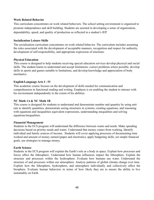#### **Work Related Behavior**

This curriculum concentrates on work related behaviors. The school setting environment is organized to promote independence and skill building. Students are assisted in developing a sense of organization, dependability, speed, and quality of production as reflected in a student's IEP.

#### **Socialization Leisure Skills**

The socialization curriculum concentrates on work related behavior. The curriculum includes assuming the roles associated with the development of acceptable manners, recognition and respect for authority, development of self-responsibility, and appropriate expression of emotions.

#### **Physical Education**

This course is designed to help students receiving special education services develop physical and social skills. The student learns to understand and accept limitations: correct problems where possible, develop skills in sports and games suitable to limitations, and develop knowledge and appreciation of body mechanics.

#### **English/Language Arts I - IV**

This academic course focuses on the development of skills needed for communication and comprehension in functional reading and writing. Emphasis is on enabling the student to interact with his environment independently to the extent of his abilities.

#### **NC Math 1A & NC Math 1B**

This course is designed for students to understand and demonstrate number and quantity by using unit rate to identify quantities, demonstrate seeing structures in systems, creating equations, and reasoning with equations and inequalities equivalent expressions, understanding inequalities and solving equations/inequalities.

#### **Financial Management**

Students in the ECS program will understand the difference between wants and needs. Make spending decisions based on priority needs and wants. Understand that money comes from working. Identify individual and family sources of income. Students will cover applying processes of documenting time worked and amount of money earned (paper and electronic), apply budgeting skills, set simple financial goals, use strategies to manage money.

#### **Earth Science**

Students in the ECS program will explain the Earth's role as a body in space. Explain how processes and forces affect the lithosphere. Understand how human influences impact the lithosphere. Explain the structure and processes within the hydrosphere. Evaluate how humans use water. Understand the structure of and processes within our atmosphere. Analyze patterns of global climate change over time. Explain how the lithosphere, hydrosphere, and atmosphere individually and collectively affect the biosphere. Evaluate human behaviors in terms of how likely they are to ensure the ability to live sustainably on Earth.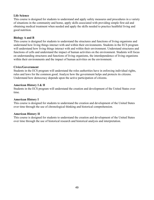#### **Life Science**

This course is designed for students to understand and apply safety measures and procedures in a variety of situations in the community and home, apply skills associated with providing simple first aid and obtaining medical treatment when needed and apply the skills needed to practice healthful living and good nutrition.

#### **Biology A and B**

This course is designed for students to understand the structures and functions of living organisms and understand how living things interact with and within their environments. Students in the ECS program will understand how living things interact with and within their environment. Understand structures and functions of cells and understand the impact of human activities on the environment. Students will focus on understanding structures and functions of living organisms, the interdependence of living organisms within their environments and the impact of human activities on the environment.

#### **Civics/Government**

Students in the ECS program will understand the roles authorities have in enforcing individual rights, rules and laws for the common good. Analyze how the government helps and protects its citizens. Understand how democracy depends upon the active participation of citizens.

#### **American History I & II**

Students in the ECS program will understand the creation and development of the United States over time.

#### **American History I**

This course is designed for students to understand the creation and development of the United States over time through the use of chronological thinking and historical comprehension.

#### **American History II**

This course is designed for students to understand the creation and development of the United States over time through the use of historical research and historical analysis and interpretation.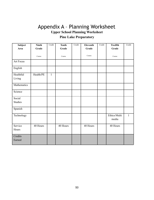## Appendix A – Planning Worksheet **Upper School Planning Worksheet Pine Lake Preparatory**

| Subject                  | <b>Ninth</b> | Credit       | <b>Tenth</b> | Credit | Eleventh | Credit | <b>Twelfth</b>        | Credit       |
|--------------------------|--------------|--------------|--------------|--------|----------|--------|-----------------------|--------------|
| Area                     | Grade        |              | Grade        |        | Grade    |        | Grade                 |              |
|                          | Course       |              | Course       |        | Course   |        | Course                |              |
| <b>Art Focus</b>         |              |              |              |        |          |        |                       |              |
| English                  |              |              |              |        |          |        |                       |              |
| Healthful<br>Living      | Health/PE    | $\mathbf{1}$ |              |        |          |        |                       |              |
| Mathematics              |              |              |              |        |          |        |                       |              |
| Science                  |              |              |              |        |          |        |                       |              |
| Social<br><b>Studies</b> |              |              |              |        |          |        |                       |              |
| Spanish                  |              |              |              |        |          |        |                       |              |
| Technology               |              |              |              |        |          |        | Ethics/Multi<br>media | $\mathbf{1}$ |
| Service<br>Hours         | 40 Hours     |              | 40 Hours     |        | 40 Hours |        | 40 Hours              |              |
| Credits<br>Earned        |              |              |              |        |          |        |                       |              |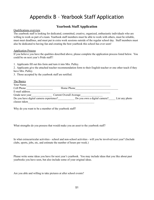## Appendix B – Yearbook Staff Application

#### **Yearbook Staff Application**

Qualifications overview

The yearbook staff is looking for dedicated, committed, creative, organized, enthusiastic individuals who are willing to work as part of a team. Yearbook staff members must be able to work with others, must be reliable, must meet deadlines, and must put in extra work sessions outside of the regular school day. Staff members must also be dedicated to having fun and creating the best yearbook this school has ever seen!

Application Process

If you believe you have the qualities described above, please complete the application process listed below. You could be on next year's Pride staff!!

1. Applicants fill out this form and turn it into Mrs. Pulley.

2. Applicants give the attached teacher recommendation form to their English teacher or one other teach if they have Mrs. Pulley.

3. Those accepted by the yearbook staff are notified.

| The Basics                             |                                |                |
|----------------------------------------|--------------------------------|----------------|
| Your Name                              |                                |                |
| Cell Phone                             | Home Phone                     |                |
| E-mail address                         |                                |                |
| Grade next year                        | <b>Current Overall Average</b> |                |
| Do you have digital camera experience? | Do you own a digital camera?   | List any photo |
| classes taken                          |                                |                |

Why do you want to be a member of the yearbook staff?

What strengths do you possess that would make you an asset to the yearbook staff?

In what extracurricular activities - school and non-school activities - will you be involved next year? (Include clubs, sports, jobs, etc, and estimate the number of hours per week.)

Please write some ideas you have for next year's yearbook. You may include ideas that you like about past yearbooks you have seen, but also include some of your original ideas.

Are you able and willing to take pictures at after school events?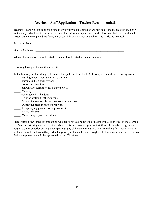### **Yearbook Staff Application – Teacher Recommendation**

Teacher: Thank you for taking the time to give your valuable input so we may select the most qualified, highly motivated yearbook staff members possible. The information you share on this form will be kept confidential. After you have completed the form, please seal it in an envelope and submit it to Christine Danbeck.

Teacher's Name:

Student Applicant:

Which of your classes does this student take or has this student taken from you?  $\mathcal{L}_\text{max} = \frac{1}{2} \sum_{i=1}^n \mathcal{L}_\text{max}(\mathbf{z}_i - \mathbf{z}_i)$ 

How long have you known this student?

To the best of your knowledge, please rate the applicant from 1 - 10 (1 lowest) in each of the following areas:

- \_\_\_\_\_ Turning in work consistently and on time
- \_\_\_\_\_ Turning in high-quality work
- \_\_\_\_\_ Following directions
- \_\_\_\_\_ Showing responsibility for his/her actions
- \_\_\_\_\_ Maturity
- \_\_\_\_\_ Relating well with adults
- \_\_\_\_\_ Relating well with other students
- \_\_\_\_\_ Staying focused on his/her own work during class
- Displaying pride in his/her own work
- Accepting suggestions for improvement
- \_\_\_\_\_ Fixing mistakes
- \_\_\_\_\_ Maintaining a positive attitude

Please write a few sentences explaining whether or not you believe this student would be an asset to the yearbook staff and/or justifying any of the ratings above. It is important for yearbook staff members to be energetic and outgoing,, with superior writing and/or photography skills and motivation. We are looking for students who will go the extra mile and make the yearbook a priority in their schedule. Insights into these traits - and any others you feel are important - would be a great help to us. Thank you!